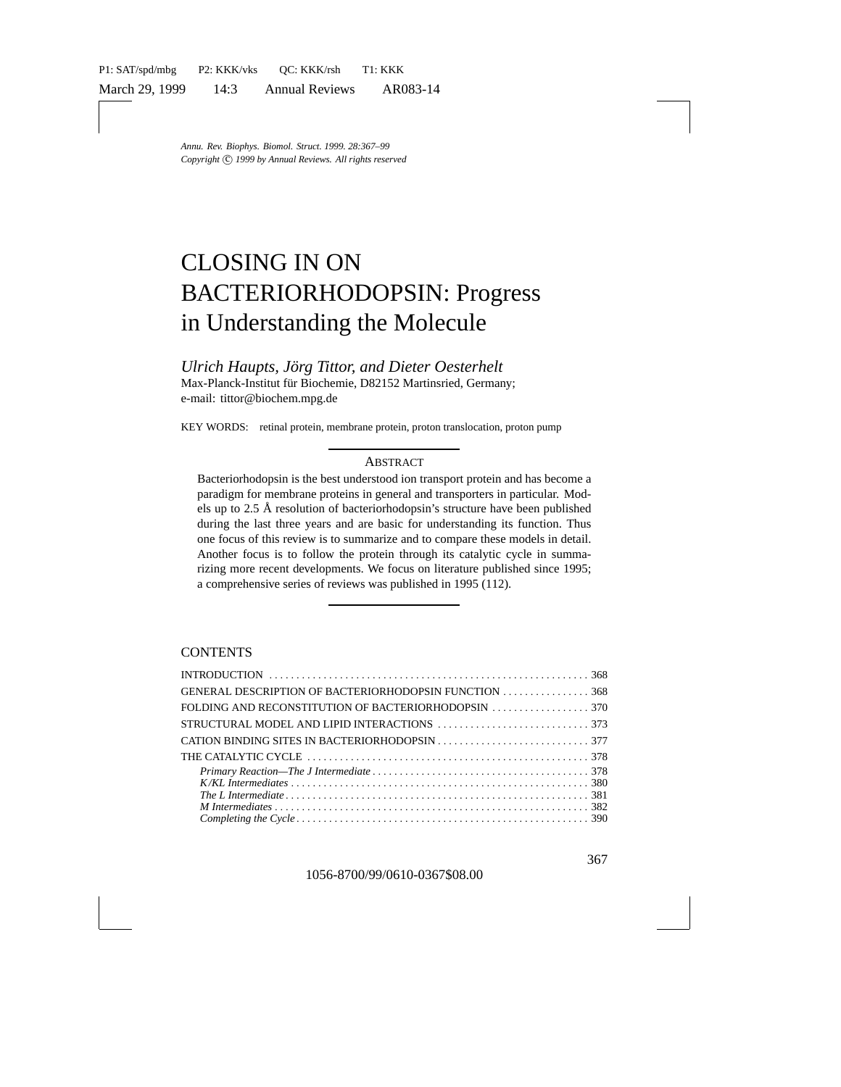# CLOSING IN ON BACTERIORHODOPSIN: Progress in Understanding the Molecule

*Ulrich Haupts, Jörg Tittor, and Dieter Oesterhelt* Max-Planck-Institut für Biochemie, D82152 Martinsried, Germany; e-mail: tittor@biochem.mpg.de

KEY WORDS: retinal protein, membrane protein, proton translocation, proton pump

#### **ABSTRACT**

Bacteriorhodopsin is the best understood ion transport protein and has become a paradigm for membrane proteins in general and transporters in particular. Models up to  $2.5 \text{ Å}$  resolution of bacteriorhodopsin's structure have been published during the last three years and are basic for understanding its function. Thus one focus of this review is to summarize and to compare these models in detail. Another focus is to follow the protein through its catalytic cycle in summarizing more recent developments. We focus on literature published since 1995; a comprehensive series of reviews was published in 1995 (112).

#### **CONTENTS**

| GENERAL DESCRIPTION OF BACTERIORHODOPSIN FUNCTION 368 |  |
|-------------------------------------------------------|--|
|                                                       |  |
|                                                       |  |
|                                                       |  |
|                                                       |  |
|                                                       |  |
|                                                       |  |
|                                                       |  |
|                                                       |  |
|                                                       |  |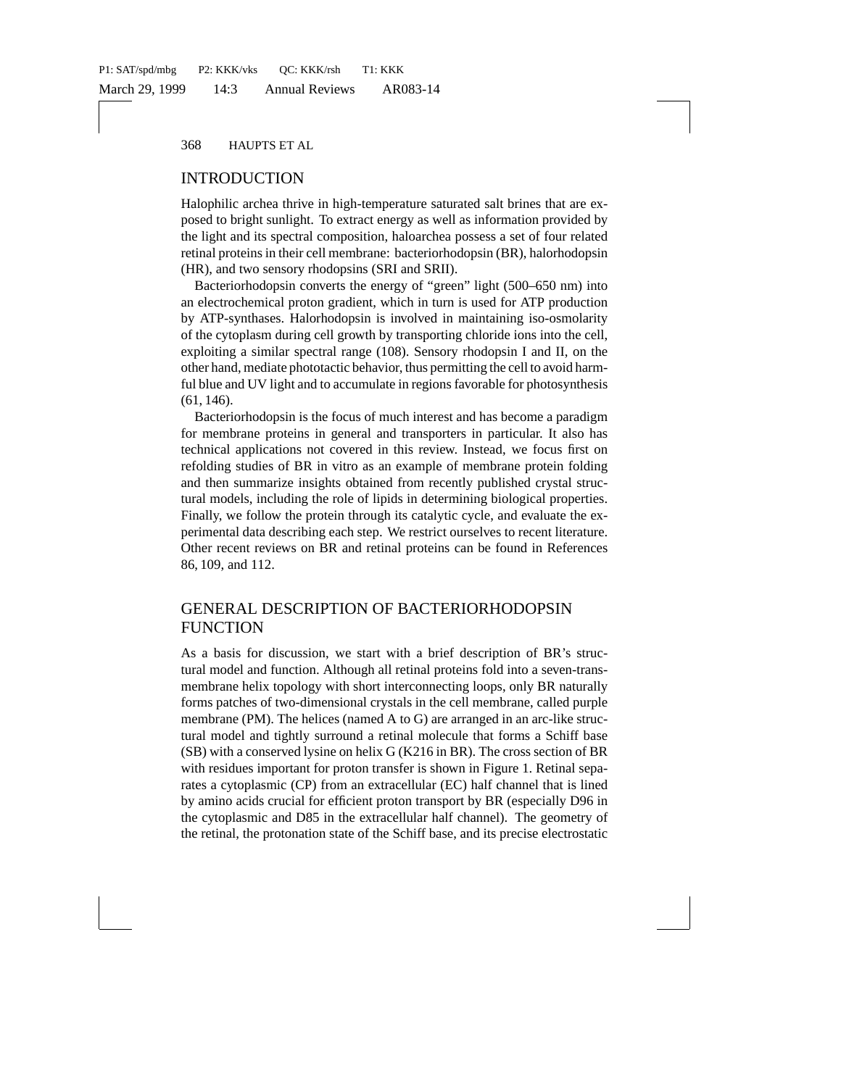# INTRODUCTION

Halophilic archea thrive in high-temperature saturated salt brines that are exposed to bright sunlight. To extract energy as well as information provided by the light and its spectral composition, haloarchea possess a set of four related retinal proteins in their cell membrane: bacteriorhodopsin (BR), halorhodopsin (HR), and two sensory rhodopsins (SRI and SRII).

Bacteriorhodopsin converts the energy of "green" light (500–650 nm) into an electrochemical proton gradient, which in turn is used for ATP production by ATP-synthases. Halorhodopsin is involved in maintaining iso-osmolarity of the cytoplasm during cell growth by transporting chloride ions into the cell, exploiting a similar spectral range (108). Sensory rhodopsin I and II, on the other hand, mediate phototactic behavior, thus permitting the cell to avoid harmful blue and UV light and to accumulate in regions favorable for photosynthesis (61, 146).

Bacteriorhodopsin is the focus of much interest and has become a paradigm for membrane proteins in general and transporters in particular. It also has technical applications not covered in this review. Instead, we focus first on refolding studies of BR in vitro as an example of membrane protein folding and then summarize insights obtained from recently published crystal structural models, including the role of lipids in determining biological properties. Finally, we follow the protein through its catalytic cycle, and evaluate the experimental data describing each step. We restrict ourselves to recent literature. Other recent reviews on BR and retinal proteins can be found in References 86, 109, and 112.

# GENERAL DESCRIPTION OF BACTERIORHODOPSIN FUNCTION

As a basis for discussion, we start with a brief description of BR's structural model and function. Although all retinal proteins fold into a seven-transmembrane helix topology with short interconnecting loops, only BR naturally forms patches of two-dimensional crystals in the cell membrane, called purple membrane (PM). The helices (named A to G) are arranged in an arc-like structural model and tightly surround a retinal molecule that forms a Schiff base (SB) with a conserved lysine on helix G (K216 in BR). The cross section of BR with residues important for proton transfer is shown in Figure 1. Retinal separates a cytoplasmic (CP) from an extracellular (EC) half channel that is lined by amino acids crucial for efficient proton transport by BR (especially D96 in the cytoplasmic and D85 in the extracellular half channel). The geometry of the retinal, the protonation state of the Schiff base, and its precise electrostatic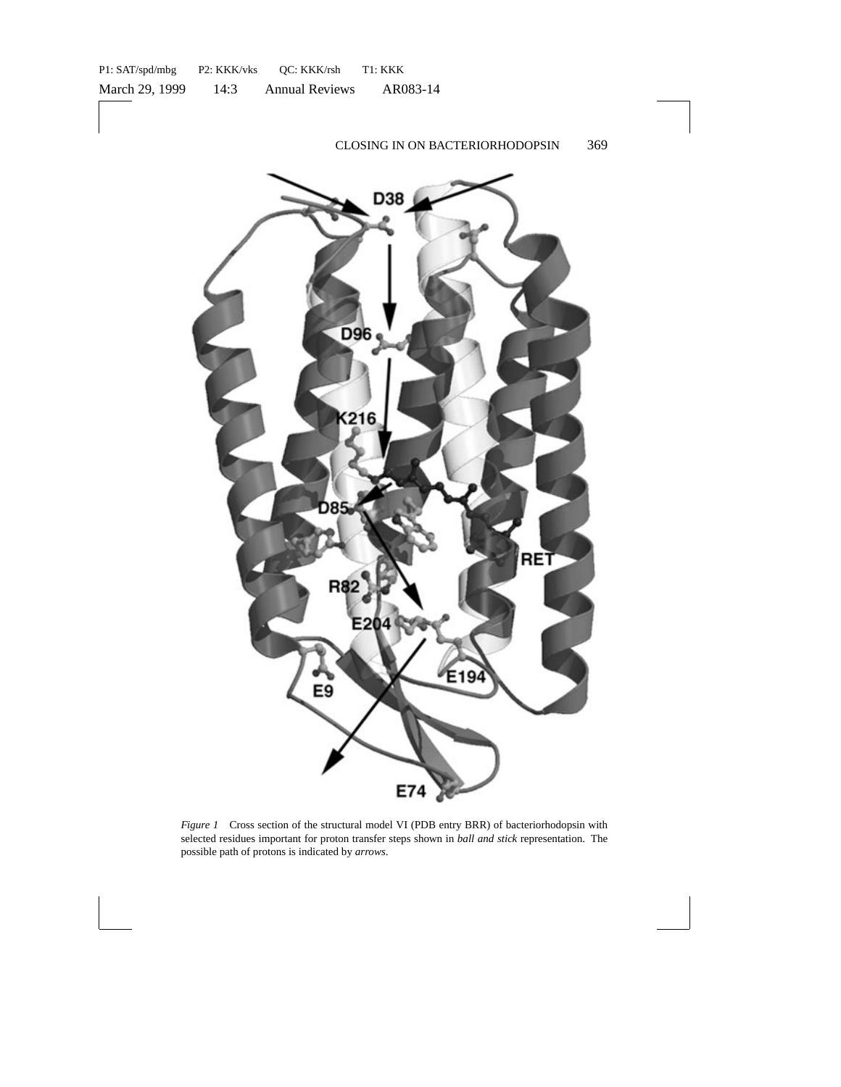

*Figure 1* Cross section of the structural model VI (PDB entry BRR) of bacteriorhodopsin with selected residues important for proton transfer steps shown in *ball and stick* representation. The possible path of protons is indicated by *arrows*.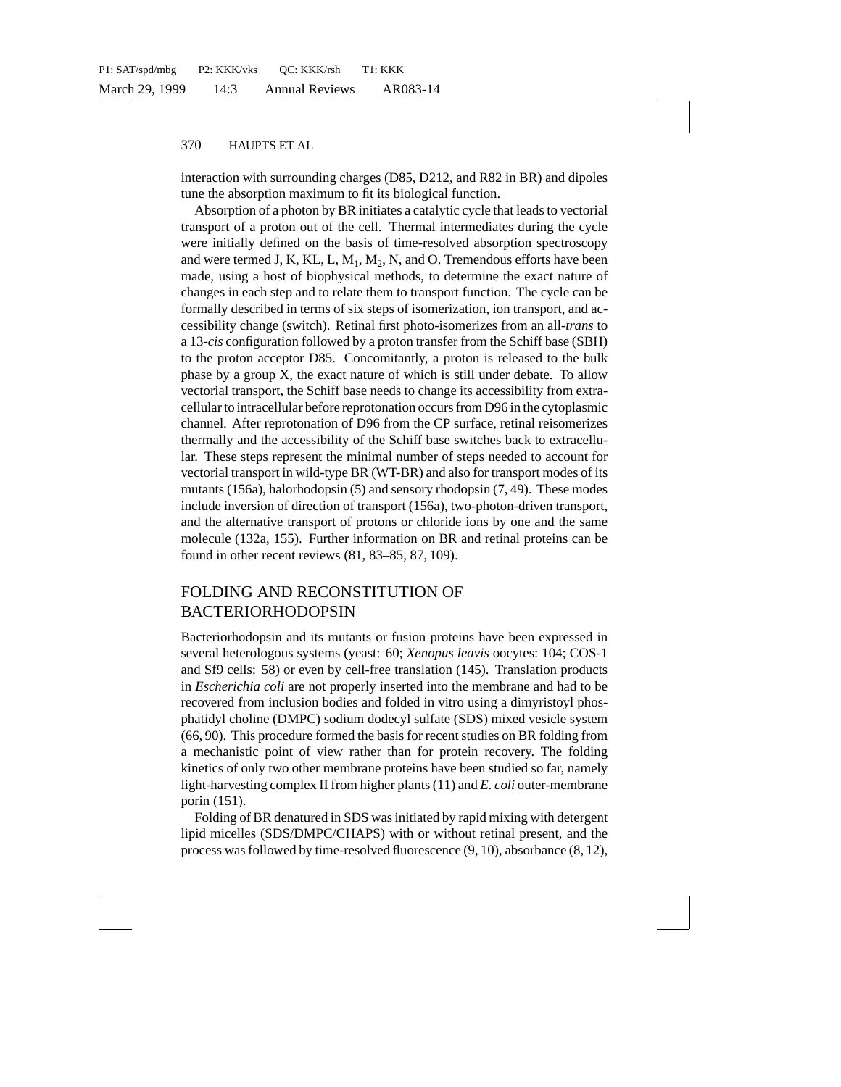interaction with surrounding charges (D85, D212, and R82 in BR) and dipoles tune the absorption maximum to fit its biological function.

Absorption of a photon by BR initiates a catalytic cycle that leads to vectorial transport of a proton out of the cell. Thermal intermediates during the cycle were initially defined on the basis of time-resolved absorption spectroscopy and were termed J, K, KL, L,  $M_1$ ,  $M_2$ , N, and O. Tremendous efforts have been made, using a host of biophysical methods, to determine the exact nature of changes in each step and to relate them to transport function. The cycle can be formally described in terms of six steps of isomerization, ion transport, and accessibility change (switch). Retinal first photo-isomerizes from an all-*trans* to a 13-*cis* configuration followed by a proton transfer from the Schiff base (SBH) to the proton acceptor D85. Concomitantly, a proton is released to the bulk phase by a group X, the exact nature of which is still under debate. To allow vectorial transport, the Schiff base needs to change its accessibility from extracellular to intracellular before reprotonation occurs from D96 in the cytoplasmic channel. After reprotonation of D96 from the CP surface, retinal reisomerizes thermally and the accessibility of the Schiff base switches back to extracellular. These steps represent the minimal number of steps needed to account for vectorial transport in wild-type BR (WT-BR) and also for transport modes of its mutants (156a), halorhodopsin (5) and sensory rhodopsin (7, 49). These modes include inversion of direction of transport (156a), two-photon-driven transport, and the alternative transport of protons or chloride ions by one and the same molecule (132a, 155). Further information on BR and retinal proteins can be found in other recent reviews (81, 83–85, 87, 109).

# FOLDING AND RECONSTITUTION OF BACTERIORHODOPSIN

Bacteriorhodopsin and its mutants or fusion proteins have been expressed in several heterologous systems (yeast: 60; *Xenopus leavis* oocytes: 104; COS-1 and Sf9 cells: 58) or even by cell-free translation (145). Translation products in *Escherichia coli* are not properly inserted into the membrane and had to be recovered from inclusion bodies and folded in vitro using a dimyristoyl phosphatidyl choline (DMPC) sodium dodecyl sulfate (SDS) mixed vesicle system (66, 90). This procedure formed the basis for recent studies on BR folding from a mechanistic point of view rather than for protein recovery. The folding kinetics of only two other membrane proteins have been studied so far, namely light-harvesting complex II from higher plants (11) and *E. coli* outer-membrane porin (151).

Folding of BR denatured in SDS was initiated by rapid mixing with detergent lipid micelles (SDS/DMPC/CHAPS) with or without retinal present, and the process was followed by time-resolved fluorescence (9, 10), absorbance (8, 12),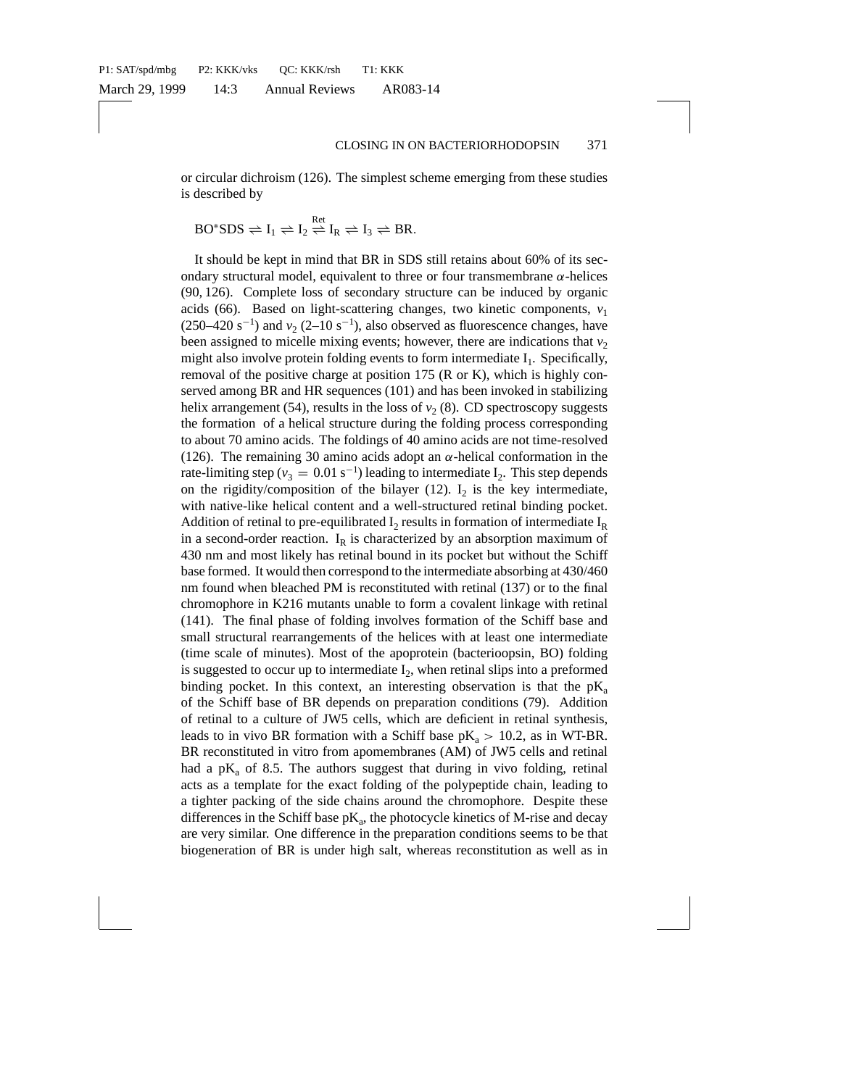or circular dichroism (126). The simplest scheme emerging from these studies is described by

$$
BO^*SDS \rightleftharpoons I_1 \rightleftharpoons I_2 \stackrel{Ret}{\rightleftharpoons} I_R \rightleftharpoons I_3 \rightleftharpoons BR.
$$

It should be kept in mind that BR in SDS still retains about 60% of its secondary structural model, equivalent to three or four transmembrane  $\alpha$ -helices (90, 126). Complete loss of secondary structure can be induced by organic acids (66). Based on light-scattering changes, two kinetic components,  $v_1$  $(250-420 \text{ s}^{-1})$  and  $v_2$   $(2-10 \text{ s}^{-1})$ , also observed as fluorescence changes, have been assigned to micelle mixing events; however, there are indications that  $v<sub>2</sub>$ might also involve protein folding events to form intermediate  $I_1$ . Specifically, removal of the positive charge at position 175 (R or K), which is highly conserved among BR and HR sequences (101) and has been invoked in stabilizing helix arrangement (54), results in the loss of  $v<sub>2</sub>$  (8). CD spectroscopy suggests the formation of a helical structure during the folding process corresponding to about 70 amino acids. The foldings of 40 amino acids are not time-resolved (126). The remaining 30 amino acids adopt an  $\alpha$ -helical conformation in the rate-limiting step ( $v_3 = 0.01 \text{ s}^{-1}$ ) leading to intermediate  $I_2$ . This step depends on the rigidity/composition of the bilayer  $(12)$ . I<sub>2</sub> is the key intermediate, with native-like helical content and a well-structured retinal binding pocket. Addition of retinal to pre-equilibrated  $I_2$  results in formation of intermediate  $I_R$ in a second-order reaction.  $I_R$  is characterized by an absorption maximum of 430 nm and most likely has retinal bound in its pocket but without the Schiff base formed. It would then correspond to the intermediate absorbing at 430/460 nm found when bleached PM is reconstituted with retinal (137) or to the final chromophore in K216 mutants unable to form a covalent linkage with retinal (141). The final phase of folding involves formation of the Schiff base and small structural rearrangements of the helices with at least one intermediate (time scale of minutes). Most of the apoprotein (bacterioopsin, BO) folding is suggested to occur up to intermediate  $I_2$ , when retinal slips into a preformed binding pocket. In this context, an interesting observation is that the  $pK_a$ of the Schiff base of BR depends on preparation conditions (79). Addition of retinal to a culture of JW5 cells, which are deficient in retinal synthesis, leads to in vivo BR formation with a Schiff base  $pK_a > 10.2$ , as in WT-BR. BR reconstituted in vitro from apomembranes (AM) of JW5 cells and retinal had a  $pK_a$  of 8.5. The authors suggest that during in vivo folding, retinal acts as a template for the exact folding of the polypeptide chain, leading to a tighter packing of the side chains around the chromophore. Despite these differences in the Schiff base  $pK_a$ , the photocycle kinetics of M-rise and decay are very similar. One difference in the preparation conditions seems to be that biogeneration of BR is under high salt, whereas reconstitution as well as in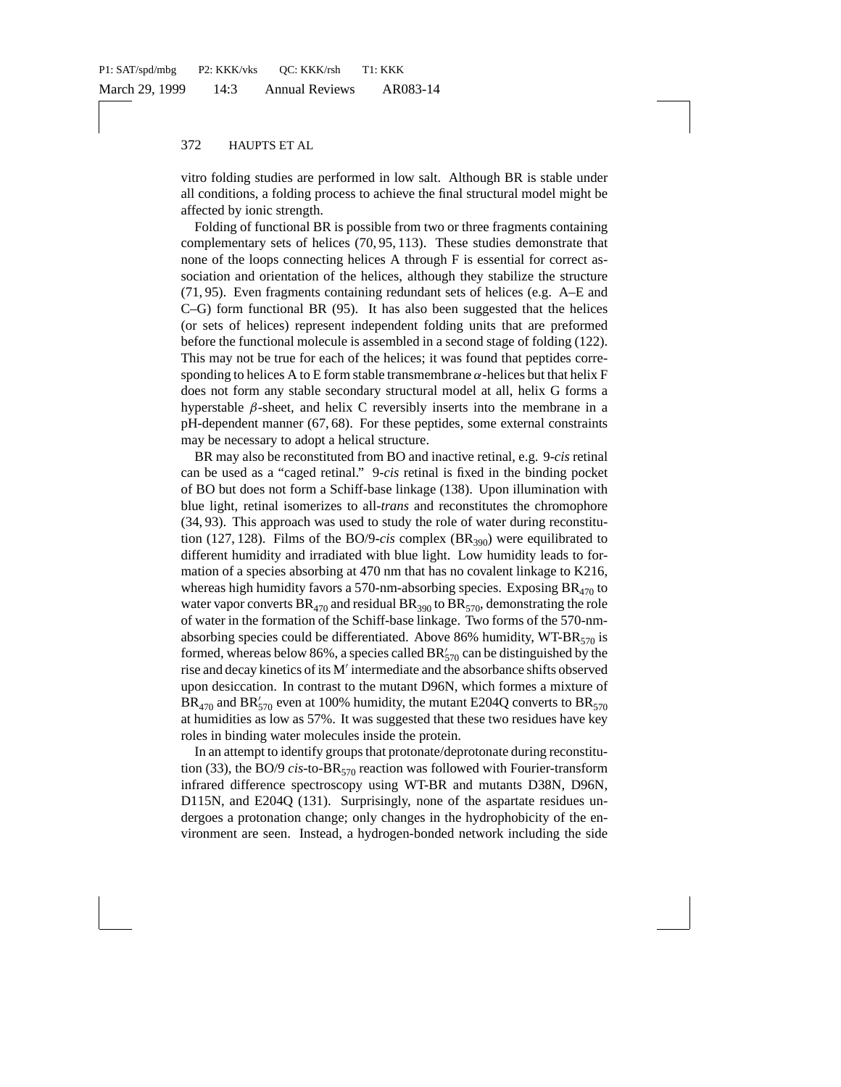vitro folding studies are performed in low salt. Although BR is stable under all conditions, a folding process to achieve the final structural model might be affected by ionic strength.

Folding of functional BR is possible from two or three fragments containing complementary sets of helices (70, 95, 113). These studies demonstrate that none of the loops connecting helices A through F is essential for correct association and orientation of the helices, although they stabilize the structure (71, 95). Even fragments containing redundant sets of helices (e.g. A–E and C–G) form functional BR (95). It has also been suggested that the helices (or sets of helices) represent independent folding units that are preformed before the functional molecule is assembled in a second stage of folding (122). This may not be true for each of the helices; it was found that peptides corresponding to helices A to E form stable transmembrane  $\alpha$ -helices but that helix F does not form any stable secondary structural model at all, helix G forms a hyperstable  $\beta$ -sheet, and helix C reversibly inserts into the membrane in a pH-dependent manner (67, 68). For these peptides, some external constraints may be necessary to adopt a helical structure.

BR may also be reconstituted from BO and inactive retinal, e.g. 9-*cis* retinal can be used as a "caged retinal." 9-*cis* retinal is fixed in the binding pocket of BO but does not form a Schiff-base linkage (138). Upon illumination with blue light, retinal isomerizes to all-*trans* and reconstitutes the chromophore (34, 93). This approach was used to study the role of water during reconstitution (127, 128). Films of the BO/9-*cis* complex  $(BR_{390})$  were equilibrated to different humidity and irradiated with blue light. Low humidity leads to formation of a species absorbing at 470 nm that has no covalent linkage to K216, whereas high humidity favors a 570-nm-absorbing species. Exposing  $BR<sub>470</sub>$  to water vapor converts  $BR_{470}$  and residual  $BR_{390}$  to  $BR_{570}$ , demonstrating the role of water in the formation of the Schiff-base linkage. Two forms of the 570-nmabsorbing species could be differentiated. Above 86% humidity,  $WT-BR_{570}$  is formed, whereas below 86%, a species called  $BR'_{570}$  can be distinguished by the rise and decay kinetics of its  $M'$  intermediate and the absorbance shifts observed upon desiccation. In contrast to the mutant D96N, which formes a mixture of  $BR_{470}$  and  $BR'_{570}$  even at 100% humidity, the mutant E204Q converts to  $BR_{570}$ at humidities as low as 57%. It was suggested that these two residues have key roles in binding water molecules inside the protein.

In an attempt to identify groups that protonate/deprotonate during reconstitution (33), the BO/9 *cis*-to-BR<sub>570</sub> reaction was followed with Fourier-transform infrared difference spectroscopy using WT-BR and mutants D38N, D96N, D115N, and E204Q (131). Surprisingly, none of the aspartate residues undergoes a protonation change; only changes in the hydrophobicity of the environment are seen. Instead, a hydrogen-bonded network including the side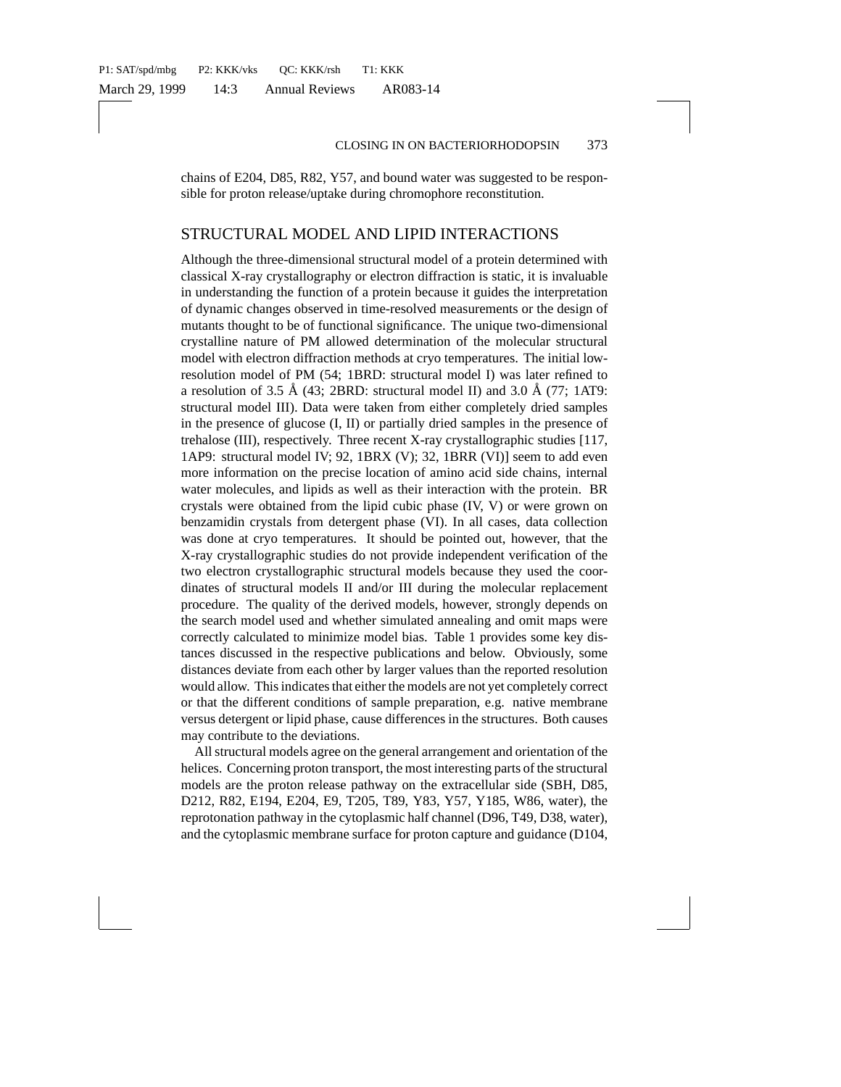chains of E204, D85, R82, Y57, and bound water was suggested to be responsible for proton release/uptake during chromophore reconstitution.

#### STRUCTURAL MODEL AND LIPID INTERACTIONS

Although the three-dimensional structural model of a protein determined with classical X-ray crystallography or electron diffraction is static, it is invaluable in understanding the function of a protein because it guides the interpretation of dynamic changes observed in time-resolved measurements or the design of mutants thought to be of functional significance. The unique two-dimensional crystalline nature of PM allowed determination of the molecular structural model with electron diffraction methods at cryo temperatures. The initial lowresolution model of PM (54; 1BRD: structural model I) was later refined to a resolution of 3.5 Å (43; 2BRD: structural model II) and 3.0 Å (77; 1AT9: structural model III). Data were taken from either completely dried samples in the presence of glucose (I, II) or partially dried samples in the presence of trehalose (III), respectively. Three recent X-ray crystallographic studies [117, 1AP9: structural model IV; 92, 1BRX (V); 32, 1BRR (VI)] seem to add even more information on the precise location of amino acid side chains, internal water molecules, and lipids as well as their interaction with the protein. BR crystals were obtained from the lipid cubic phase (IV, V) or were grown on benzamidin crystals from detergent phase (VI). In all cases, data collection was done at cryo temperatures. It should be pointed out, however, that the X-ray crystallographic studies do not provide independent verification of the two electron crystallographic structural models because they used the coordinates of structural models II and/or III during the molecular replacement procedure. The quality of the derived models, however, strongly depends on the search model used and whether simulated annealing and omit maps were correctly calculated to minimize model bias. Table 1 provides some key distances discussed in the respective publications and below. Obviously, some distances deviate from each other by larger values than the reported resolution would allow. This indicates that either the models are not yet completely correct or that the different conditions of sample preparation, e.g. native membrane versus detergent or lipid phase, cause differences in the structures. Both causes may contribute to the deviations.

All structural models agree on the general arrangement and orientation of the helices. Concerning proton transport, the most interesting parts of the structural models are the proton release pathway on the extracellular side (SBH, D85, D212, R82, E194, E204, E9, T205, T89, Y83, Y57, Y185, W86, water), the reprotonation pathway in the cytoplasmic half channel (D96, T49, D38, water), and the cytoplasmic membrane surface for proton capture and guidance (D104,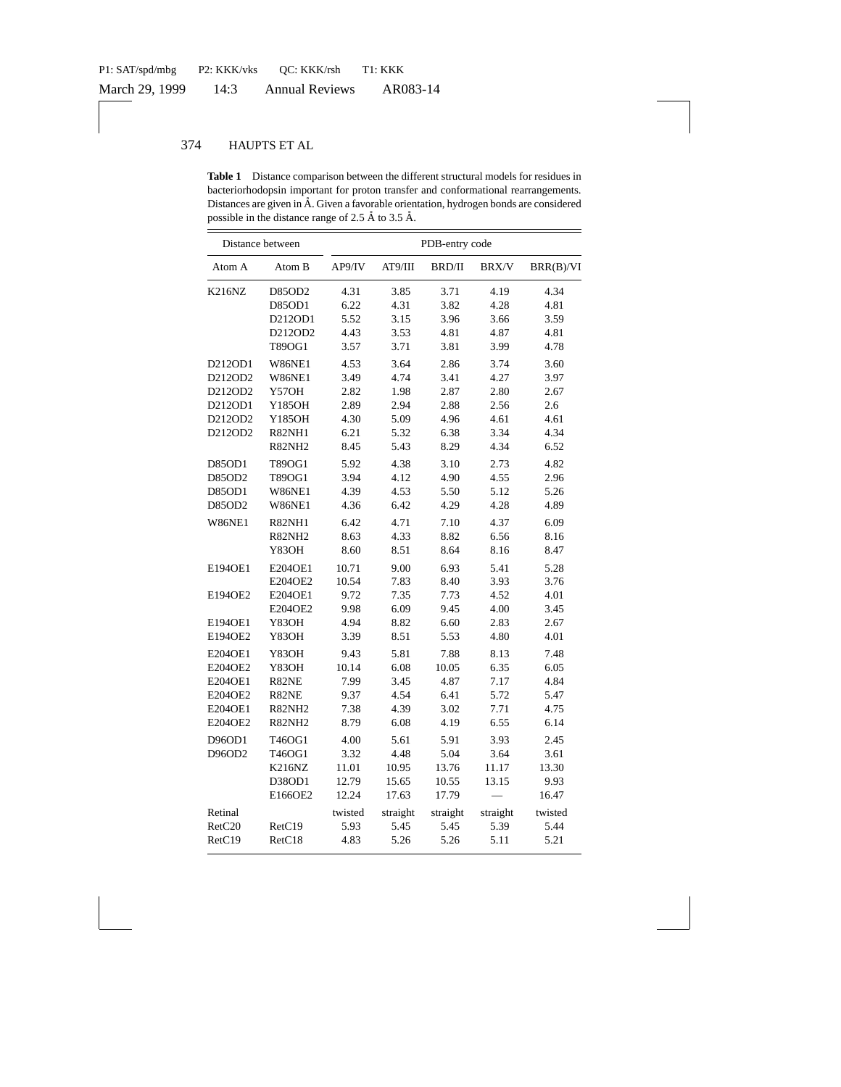|               | Distance between | PDB-entry code |          |               |              |           |  |  |  |
|---------------|------------------|----------------|----------|---------------|--------------|-----------|--|--|--|
| Atom A        | Atom B           | AP9/IV         | AT9/III  | <b>BRD/II</b> | <b>BRX/V</b> | BRR(B)/VI |  |  |  |
| <b>K216NZ</b> | D85OD2           | 4.31           | 3.85     | 3.71          | 4.19         | 4.34      |  |  |  |
|               | <b>D85OD1</b>    | 6.22           | 4.31     | 3.82          | 4.28         | 4.81      |  |  |  |
|               | D212OD1          | 5.52           | 3.15     | 3.96          | 3.66         | 3.59      |  |  |  |
|               | D212OD2          | 4.43           | 3.53     | 4.81          | 4.87         | 4.81      |  |  |  |
|               | T89OG1           | 3.57           | 3.71     | 3.81          | 3.99         | 4.78      |  |  |  |
| D212OD1       | W86NE1           | 4.53           | 3.64     | 2.86          | 3.74         | 3.60      |  |  |  |
| D212OD2       | W86NE1           | 3.49           | 4.74     | 3.41          | 4.27         | 3.97      |  |  |  |
| D212OD2       | Y57OH            | 2.82           | 1.98     | 2.87          | 2.80         | 2.67      |  |  |  |
| D212OD1       | Y185OH           | 2.89           | 2.94     | 2.88          | 2.56         | 2.6       |  |  |  |
| D212OD2       | Y185OH           | 4.30           | 5.09     | 4.96          | 4.61         | 4.61      |  |  |  |
| D212OD2       | <b>R82NH1</b>    | 6.21           | 5.32     | 6.38          | 3.34         | 4.34      |  |  |  |
|               | <b>R82NH2</b>    | 8.45           | 5.43     | 8.29          | 4.34         | 6.52      |  |  |  |
| D85OD1        | T89OG1           | 5.92           | 4.38     | 3.10          | 2.73         | 4.82      |  |  |  |
| D85OD2        | T89OG1           | 3.94           | 4.12     | 4.90          | 4.55         | 2.96      |  |  |  |
| D85OD1        | W86NE1           | 4.39           | 4.53     | 5.50          | 5.12         | 5.26      |  |  |  |
| D85OD2        | W86NE1           | 4.36           | 6.42     | 4.29          | 4.28         | 4.89      |  |  |  |
| W86NE1        | R82NH1           | 6.42           | 4.71     | 7.10          | 4.37         | 6.09      |  |  |  |
|               | <b>R82NH2</b>    | 8.63           | 4.33     | 8.82          | 6.56         | 8.16      |  |  |  |
|               | Y830H            | 8.60           | 8.51     | 8.64          | 8.16         | 8.47      |  |  |  |
| E1940E1       | E204OE1          | 10.71          | 9.00     | 6.93          | 5.41         | 5.28      |  |  |  |
|               | E204OE2          | 10.54          | 7.83     | 8.40          | 3.93         | 3.76      |  |  |  |
| E1940E2       | E204OE1          | 9.72           | 7.35     | 7.73          | 4.52         | 4.01      |  |  |  |
|               | E204OE2          | 9.98           | 6.09     | 9.45          | 4.00         | 3.45      |  |  |  |
| E1940E1       | Y83OH            | 4.94           | 8.82     | 6.60          | 2.83         | 2.67      |  |  |  |
| E194OE2       | Y83OH            | 3.39           | 8.51     | 5.53          | 4.80         | 4.01      |  |  |  |
| E204OE1       | Y83OH            | 9.43           | 5.81     | 7.88          | 8.13         | 7.48      |  |  |  |
| E204OE2       | Y83OH            | 10.14          | 6.08     | 10.05         | 6.35         | 6.05      |  |  |  |
| E204OE1       | R82NE            | 7.99           | 3.45     | 4.87          | 7.17         | 4.84      |  |  |  |
| E204OE2       | R82NE            | 9.37           | 4.54     | 6.41          | 5.72         | 5.47      |  |  |  |
| E204OE1       | <b>R82NH2</b>    | 7.38           | 4.39     | 3.02          | 7.71         | 4.75      |  |  |  |
| E204OE2       | <b>R82NH2</b>    | 8.79           | 6.08     | 4.19          | 6.55         | 6.14      |  |  |  |
| D96OD1        | T46OG1           | 4.00           | 5.61     | 5.91          | 3.93         | 2.45      |  |  |  |
| D96OD2        | T46OG1           | 3.32           | 4.48     | 5.04          | 3.64         | 3.61      |  |  |  |
|               | <b>K216NZ</b>    | 11.01          | 10.95    | 13.76         | 11.17        | 13.30     |  |  |  |
|               | D38OD1           | 12.79          | 15.65    | 10.55         | 13.15        | 9.93      |  |  |  |
|               | E166OE2          | 12.24          | 17.63    | 17.79         |              | 16.47     |  |  |  |
| Retinal       |                  | twisted        | straight | straight      | straight     | twisted   |  |  |  |
| RetC20        | RetC19           | 5.93           | 5.45     | 5.45          | 5.39         | 5.44      |  |  |  |
| RetC19        | RetC18           | 4.83           | 5.26     | 5.26          | 5.11         | 5.21      |  |  |  |

**Table 1** Distance comparison between the different structural models for residues in bacteriorhodopsin important for proton transfer and conformational rearrangements. Distances are given in Å. Given a favorable orientation, hydrogen bonds are considered possible in the distance range of 2.5 Å to 3.5 Å.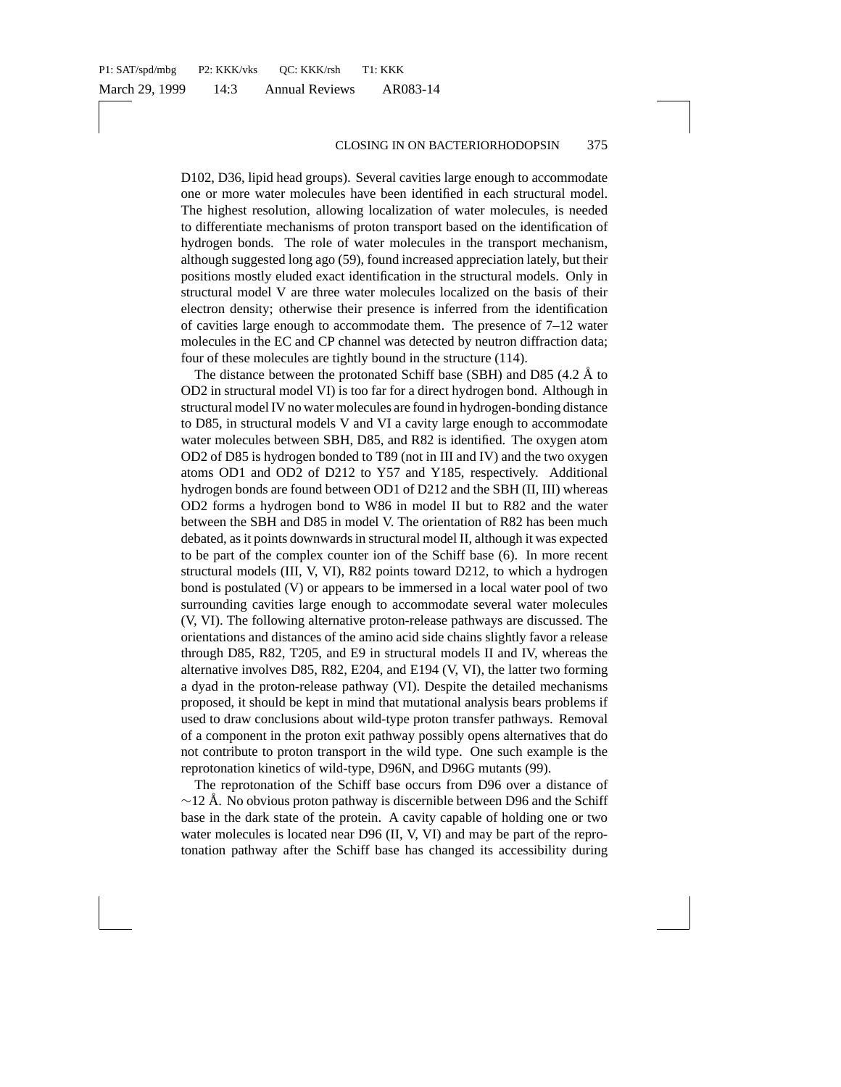D102, D36, lipid head groups). Several cavities large enough to accommodate one or more water molecules have been identified in each structural model. The highest resolution, allowing localization of water molecules, is needed to differentiate mechanisms of proton transport based on the identification of hydrogen bonds. The role of water molecules in the transport mechanism, although suggested long ago (59), found increased appreciation lately, but their positions mostly eluded exact identification in the structural models. Only in structural model V are three water molecules localized on the basis of their electron density; otherwise their presence is inferred from the identification of cavities large enough to accommodate them. The presence of 7–12 water molecules in the EC and CP channel was detected by neutron diffraction data; four of these molecules are tightly bound in the structure (114).

The distance between the protonated Schiff base (SBH) and D85 (4.2  $\AA$  to OD2 in structural model VI) is too far for a direct hydrogen bond. Although in structural model IV no water molecules are found in hydrogen-bonding distance to D85, in structural models V and VI a cavity large enough to accommodate water molecules between SBH, D85, and R82 is identified. The oxygen atom OD2 of D85 is hydrogen bonded to T89 (not in III and IV) and the two oxygen atoms OD1 and OD2 of D212 to Y57 and Y185, respectively. Additional hydrogen bonds are found between OD1 of D212 and the SBH (II, III) whereas OD2 forms a hydrogen bond to W86 in model II but to R82 and the water between the SBH and D85 in model V. The orientation of R82 has been much debated, as it points downwards in structural model II, although it was expected to be part of the complex counter ion of the Schiff base (6). In more recent structural models (III, V, VI), R82 points toward D212, to which a hydrogen bond is postulated (V) or appears to be immersed in a local water pool of two surrounding cavities large enough to accommodate several water molecules (V, VI). The following alternative proton-release pathways are discussed. The orientations and distances of the amino acid side chains slightly favor a release through D85, R82, T205, and E9 in structural models II and IV, whereas the alternative involves D85, R82, E204, and E194 (V, VI), the latter two forming a dyad in the proton-release pathway (VI). Despite the detailed mechanisms proposed, it should be kept in mind that mutational analysis bears problems if used to draw conclusions about wild-type proton transfer pathways. Removal of a component in the proton exit pathway possibly opens alternatives that do not contribute to proton transport in the wild type. One such example is the reprotonation kinetics of wild-type, D96N, and D96G mutants (99).

The reprotonation of the Schiff base occurs from D96 over a distance of  $~\sim$ 12 Å. No obvious proton pathway is discernible between D96 and the Schiff base in the dark state of the protein. A cavity capable of holding one or two water molecules is located near D96 (II, V, VI) and may be part of the reprotonation pathway after the Schiff base has changed its accessibility during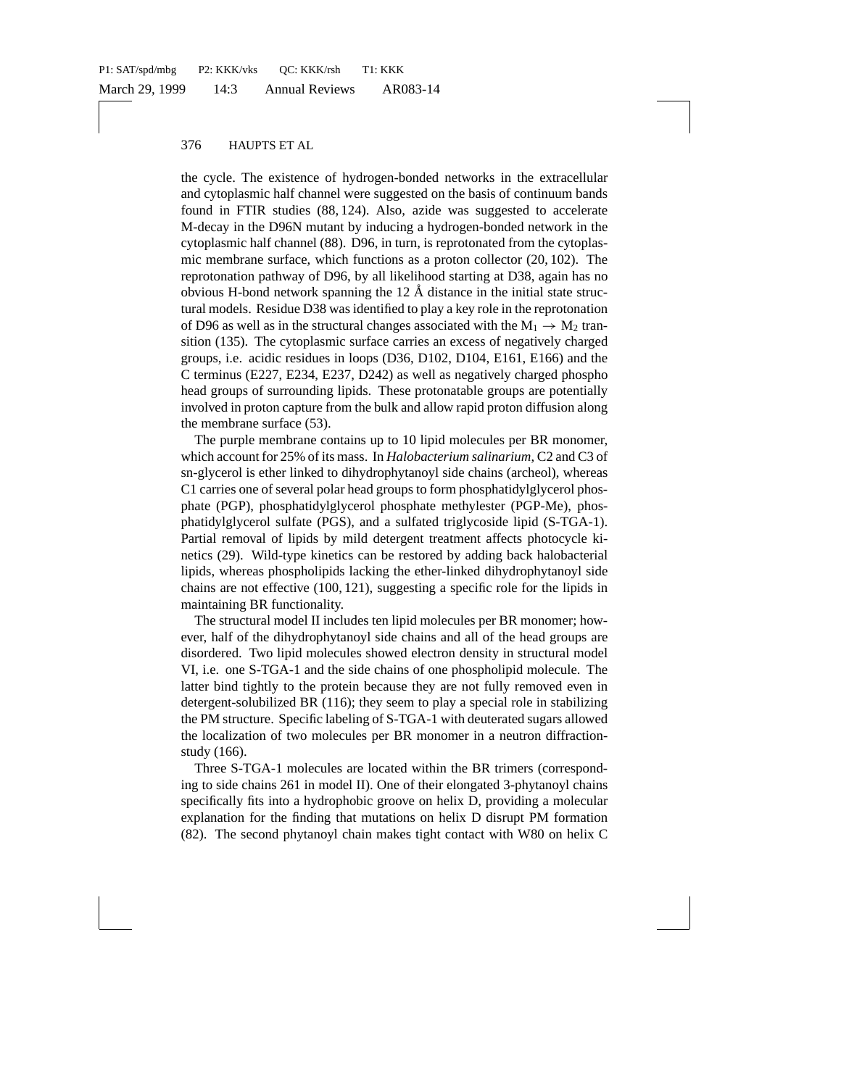the cycle. The existence of hydrogen-bonded networks in the extracellular and cytoplasmic half channel were suggested on the basis of continuum bands found in FTIR studies (88, 124). Also, azide was suggested to accelerate M-decay in the D96N mutant by inducing a hydrogen-bonded network in the cytoplasmic half channel (88). D96, in turn, is reprotonated from the cytoplasmic membrane surface, which functions as a proton collector (20, 102). The reprotonation pathway of D96, by all likelihood starting at D38, again has no obvious H-bond network spanning the  $12 \text{ Å}$  distance in the initial state structural models. Residue D38 was identified to play a key role in the reprotonation of D96 as well as in the structural changes associated with the  $M_1 \rightarrow M_2$  transition (135). The cytoplasmic surface carries an excess of negatively charged groups, i.e. acidic residues in loops (D36, D102, D104, E161, E166) and the C terminus (E227, E234, E237, D242) as well as negatively charged phospho head groups of surrounding lipids. These protonatable groups are potentially involved in proton capture from the bulk and allow rapid proton diffusion along the membrane surface (53).

The purple membrane contains up to 10 lipid molecules per BR monomer, which account for 25% of its mass. In *Halobacterium salinarium*, C2 and C3 of sn-glycerol is ether linked to dihydrophytanoyl side chains (archeol), whereas C1 carries one of several polar head groups to form phosphatidylglycerol phosphate (PGP), phosphatidylglycerol phosphate methylester (PGP-Me), phosphatidylglycerol sulfate (PGS), and a sulfated triglycoside lipid (S-TGA-1). Partial removal of lipids by mild detergent treatment affects photocycle kinetics (29). Wild-type kinetics can be restored by adding back halobacterial lipids, whereas phospholipids lacking the ether-linked dihydrophytanoyl side chains are not effective (100, 121), suggesting a specific role for the lipids in maintaining BR functionality.

The structural model II includes ten lipid molecules per BR monomer; however, half of the dihydrophytanoyl side chains and all of the head groups are disordered. Two lipid molecules showed electron density in structural model VI, i.e. one S-TGA-1 and the side chains of one phospholipid molecule. The latter bind tightly to the protein because they are not fully removed even in detergent-solubilized BR (116); they seem to play a special role in stabilizing the PM structure. Specific labeling of S-TGA-1 with deuterated sugars allowed the localization of two molecules per BR monomer in a neutron diffractionstudy (166).

Three S-TGA-1 molecules are located within the BR trimers (corresponding to side chains 261 in model II). One of their elongated 3-phytanoyl chains specifically fits into a hydrophobic groove on helix D, providing a molecular explanation for the finding that mutations on helix D disrupt PM formation (82). The second phytanoyl chain makes tight contact with W80 on helix C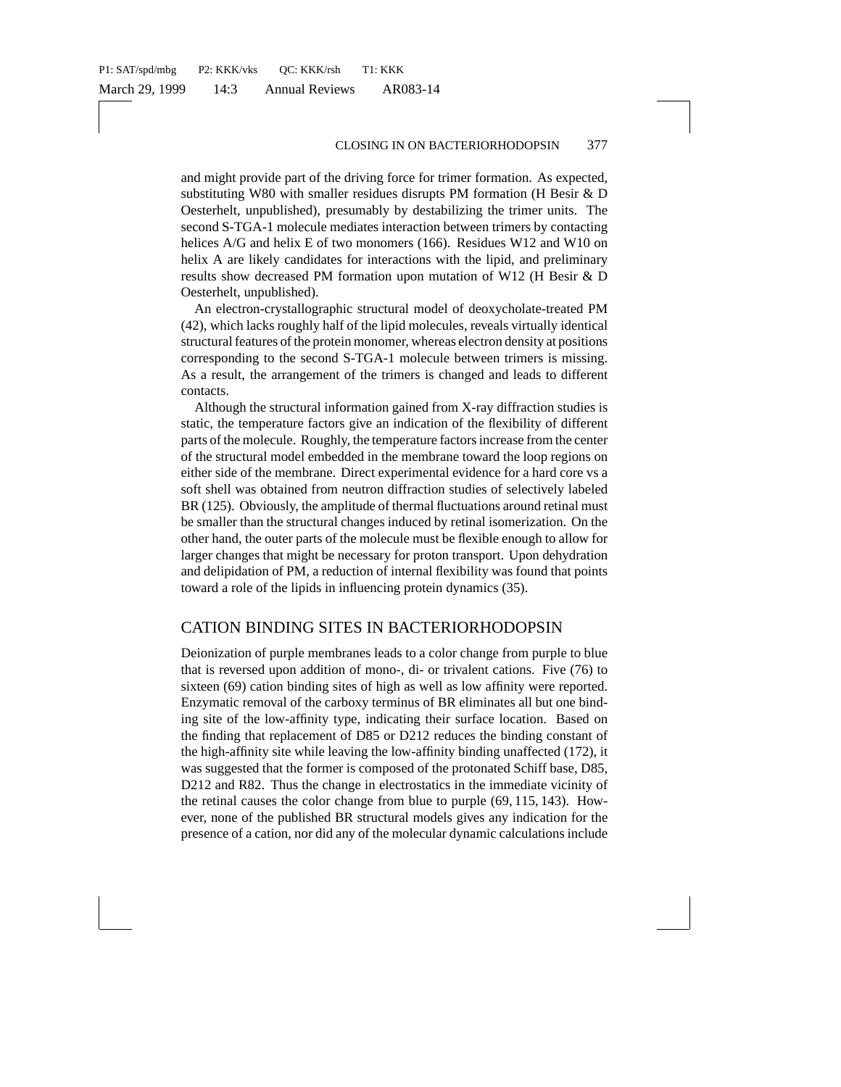and might provide part of the driving force for trimer formation. As expected, substituting W80 with smaller residues disrupts PM formation (H Besir & D Oesterhelt, unpublished), presumably by destabilizing the trimer units. The second S-TGA-1 molecule mediates interaction between trimers by contacting helices A/G and helix E of two monomers (166). Residues W12 and W10 on helix A are likely candidates for interactions with the lipid, and preliminary results show decreased PM formation upon mutation of W12 (H Besir & D Oesterhelt, unpublished).

An electron-crystallographic structural model of deoxycholate-treated PM (42), which lacks roughly half of the lipid molecules, reveals virtually identical structural features of the protein monomer, whereas electron density at positions corresponding to the second S-TGA-1 molecule between trimers is missing. As a result, the arrangement of the trimers is changed and leads to different contacts.

Although the structural information gained from X-ray diffraction studies is static, the temperature factors give an indication of the flexibility of different parts of the molecule. Roughly, the temperature factors increase from the center of the structural model embedded in the membrane toward the loop regions on either side of the membrane. Direct experimental evidence for a hard core vs a soft shell was obtained from neutron diffraction studies of selectively labeled BR (125). Obviously, the amplitude of thermal fluctuations around retinal must be smaller than the structural changes induced by retinal isomerization. On the other hand, the outer parts of the molecule must be flexible enough to allow for larger changes that might be necessary for proton transport. Upon dehydration and delipidation of PM, a reduction of internal flexibility was found that points toward a role of the lipids in influencing protein dynamics (35).

### CATION BINDING SITES IN BACTERIORHODOPSIN

Deionization of purple membranes leads to a color change from purple to blue that is reversed upon addition of mono-, di- or trivalent cations. Five (76) to sixteen (69) cation binding sites of high as well as low affinity were reported. Enzymatic removal of the carboxy terminus of BR eliminates all but one binding site of the low-affinity type, indicating their surface location. Based on the finding that replacement of D85 or D212 reduces the binding constant of the high-affinity site while leaving the low-affinity binding unaffected (172), it was suggested that the former is composed of the protonated Schiff base, D85, D212 and R82. Thus the change in electrostatics in the immediate vicinity of the retinal causes the color change from blue to purple (69, 115, 143). However, none of the published BR structural models gives any indication for the presence of a cation, nor did any of the molecular dynamic calculations include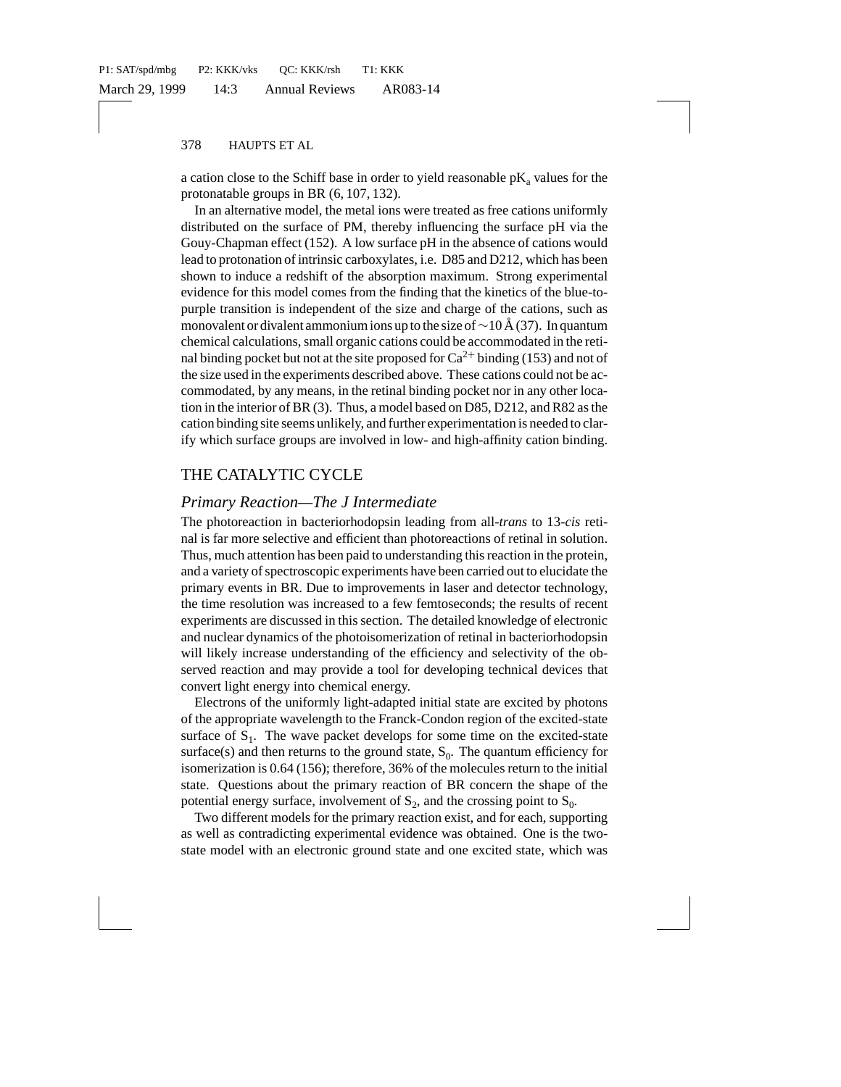a cation close to the Schiff base in order to yield reasonable  $pK_a$  values for the protonatable groups in BR (6, 107, 132).

In an alternative model, the metal ions were treated as free cations uniformly distributed on the surface of PM, thereby influencing the surface pH via the Gouy-Chapman effect (152). A low surface pH in the absence of cations would lead to protonation of intrinsic carboxylates, i.e. D85 and D212, which has been shown to induce a redshift of the absorption maximum. Strong experimental evidence for this model comes from the finding that the kinetics of the blue-topurple transition is independent of the size and charge of the cations, such as monovalent or divalent ammonium ions up to the size of  $\sim$ 10 Å (37). In quantum chemical calculations, small organic cations could be accommodated in the retinal binding pocket but not at the site proposed for  $Ca^{2+}$  binding (153) and not of the size used in the experiments described above. These cations could not be accommodated, by any means, in the retinal binding pocket nor in any other location in the interior of BR (3). Thus, a model based on D85, D212, and R82 as the cation binding site seems unlikely, and further experimentation is needed to clarify which surface groups are involved in low- and high-affinity cation binding.

# THE CATALYTIC CYCLE

### *Primary Reaction—The J Intermediate*

The photoreaction in bacteriorhodopsin leading from all-*trans* to 13-*cis* retinal is far more selective and efficient than photoreactions of retinal in solution. Thus, much attention has been paid to understanding this reaction in the protein, and a variety of spectroscopic experiments have been carried out to elucidate the primary events in BR. Due to improvements in laser and detector technology, the time resolution was increased to a few femtoseconds; the results of recent experiments are discussed in this section. The detailed knowledge of electronic and nuclear dynamics of the photoisomerization of retinal in bacteriorhodopsin will likely increase understanding of the efficiency and selectivity of the observed reaction and may provide a tool for developing technical devices that convert light energy into chemical energy.

Electrons of the uniformly light-adapted initial state are excited by photons of the appropriate wavelength to the Franck-Condon region of the excited-state surface of  $S_1$ . The wave packet develops for some time on the excited-state surface(s) and then returns to the ground state,  $S_0$ . The quantum efficiency for isomerization is 0.64 (156); therefore, 36% of the molecules return to the initial state. Questions about the primary reaction of BR concern the shape of the potential energy surface, involvement of  $S_2$ , and the crossing point to  $S_0$ .

Two different models for the primary reaction exist, and for each, supporting as well as contradicting experimental evidence was obtained. One is the twostate model with an electronic ground state and one excited state, which was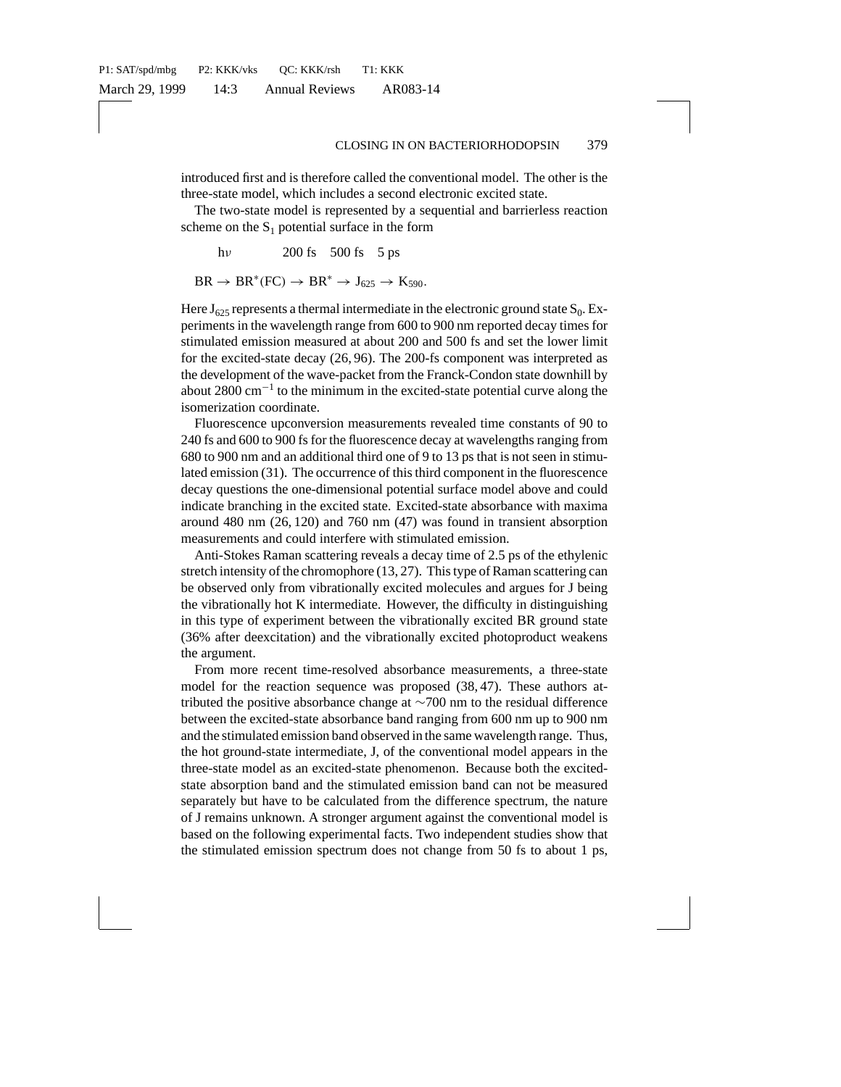introduced first and is therefore called the conventional model. The other is the three-state model, which includes a second electronic excited state.

The two-state model is represented by a sequential and barrierless reaction scheme on the  $S_1$  potential surface in the form

hν 200 fs 500 fs 5 ps  $BR \rightarrow BR^*(FC) \rightarrow BR^* \rightarrow J_{625} \rightarrow K_{590}$ .

Here  $J_{625}$  represents a thermal intermediate in the electronic ground state  $S_0$ . Experiments in the wavelength range from 600 to 900 nm reported decay times for stimulated emission measured at about 200 and 500 fs and set the lower limit for the excited-state decay (26, 96). The 200-fs component was interpreted as the development of the wave-packet from the Franck-Condon state downhill by about 2800 cm<sup>−</sup><sup>1</sup> to the minimum in the excited-state potential curve along the isomerization coordinate.

Fluorescence upconversion measurements revealed time constants of 90 to 240 fs and 600 to 900 fs for the fluorescence decay at wavelengths ranging from 680 to 900 nm and an additional third one of 9 to 13 ps that is not seen in stimulated emission (31). The occurrence of this third component in the fluorescence decay questions the one-dimensional potential surface model above and could indicate branching in the excited state. Excited-state absorbance with maxima around 480 nm (26, 120) and 760 nm (47) was found in transient absorption measurements and could interfere with stimulated emission.

Anti-Stokes Raman scattering reveals a decay time of 2.5 ps of the ethylenic stretch intensity of the chromophore (13, 27). This type of Raman scattering can be observed only from vibrationally excited molecules and argues for J being the vibrationally hot K intermediate. However, the difficulty in distinguishing in this type of experiment between the vibrationally excited BR ground state (36% after deexcitation) and the vibrationally excited photoproduct weakens the argument.

From more recent time-resolved absorbance measurements, a three-state model for the reaction sequence was proposed (38, 47). These authors attributed the positive absorbance change at ∼700 nm to the residual difference between the excited-state absorbance band ranging from 600 nm up to 900 nm and the stimulated emission band observed in the same wavelength range. Thus, the hot ground-state intermediate, J, of the conventional model appears in the three-state model as an excited-state phenomenon. Because both the excitedstate absorption band and the stimulated emission band can not be measured separately but have to be calculated from the difference spectrum, the nature of J remains unknown. A stronger argument against the conventional model is based on the following experimental facts. Two independent studies show that the stimulated emission spectrum does not change from 50 fs to about 1 ps,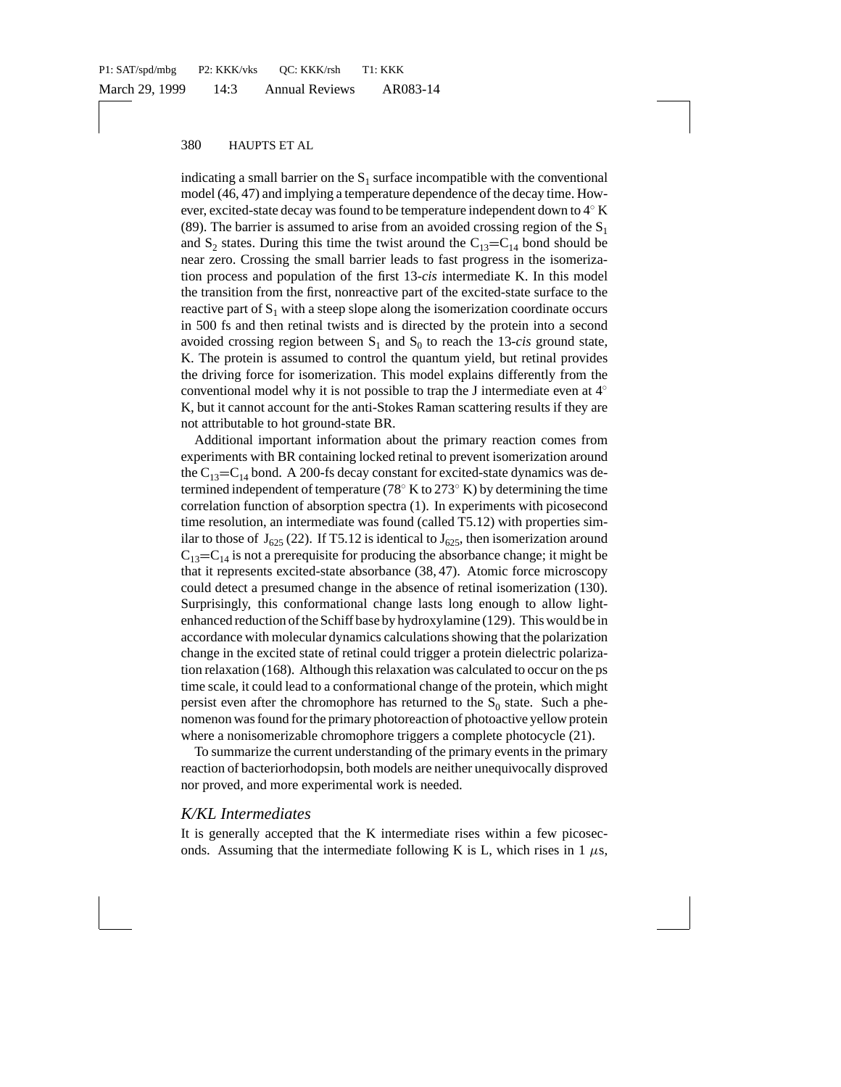indicating a small barrier on the  $S_1$  surface incompatible with the conventional model (46, 47) and implying a temperature dependence of the decay time. However, excited-state decay was found to be temperature independent down to  $4° K$ (89). The barrier is assumed to arise from an avoided crossing region of the  $S_1$ and  $S_2$  states. During this time the twist around the  $C_{13}=C_{14}$  bond should be near zero. Crossing the small barrier leads to fast progress in the isomerization process and population of the first 13-*cis* intermediate K. In this model the transition from the first, nonreactive part of the excited-state surface to the reactive part of  $S_1$  with a steep slope along the isomerization coordinate occurs in 500 fs and then retinal twists and is directed by the protein into a second avoided crossing region between  $S_1$  and  $S_0$  to reach the 13-*cis* ground state, K. The protein is assumed to control the quantum yield, but retinal provides the driving force for isomerization. This model explains differently from the conventional model why it is not possible to trap the J intermediate even at 4◦ K, but it cannot account for the anti-Stokes Raman scattering results if they are not attributable to hot ground-state BR.

Additional important information about the primary reaction comes from experiments with BR containing locked retinal to prevent isomerization around the  $C_{13}=C_{14}$  bond. A 200-fs decay constant for excited-state dynamics was determined independent of temperature (78 $\degree$  K to 273 $\degree$  K) by determining the time correlation function of absorption spectra (1). In experiments with picosecond time resolution, an intermediate was found (called T5.12) with properties similar to those of  $J_{625}$  (22). If T5.12 is identical to  $J_{625}$ , then isomerization around  $C_{13}=C_{14}$  is not a prerequisite for producing the absorbance change; it might be that it represents excited-state absorbance (38, 47). Atomic force microscopy could detect a presumed change in the absence of retinal isomerization (130). Surprisingly, this conformational change lasts long enough to allow lightenhanced reduction of the Schiff base by hydroxylamine (129). This would be in accordance with molecular dynamics calculations showing that the polarization change in the excited state of retinal could trigger a protein dielectric polarization relaxation (168). Although this relaxation was calculated to occur on the ps time scale, it could lead to a conformational change of the protein, which might persist even after the chromophore has returned to the  $S_0$  state. Such a phenomenon was found for the primary photoreaction of photoactive yellow protein where a nonisomerizable chromophore triggers a complete photocycle (21).

To summarize the current understanding of the primary events in the primary reaction of bacteriorhodopsin, both models are neither unequivocally disproved nor proved, and more experimental work is needed.

#### *K/KL Intermediates*

It is generally accepted that the K intermediate rises within a few picoseconds. Assuming that the intermediate following K is L, which rises in 1  $\mu$ s,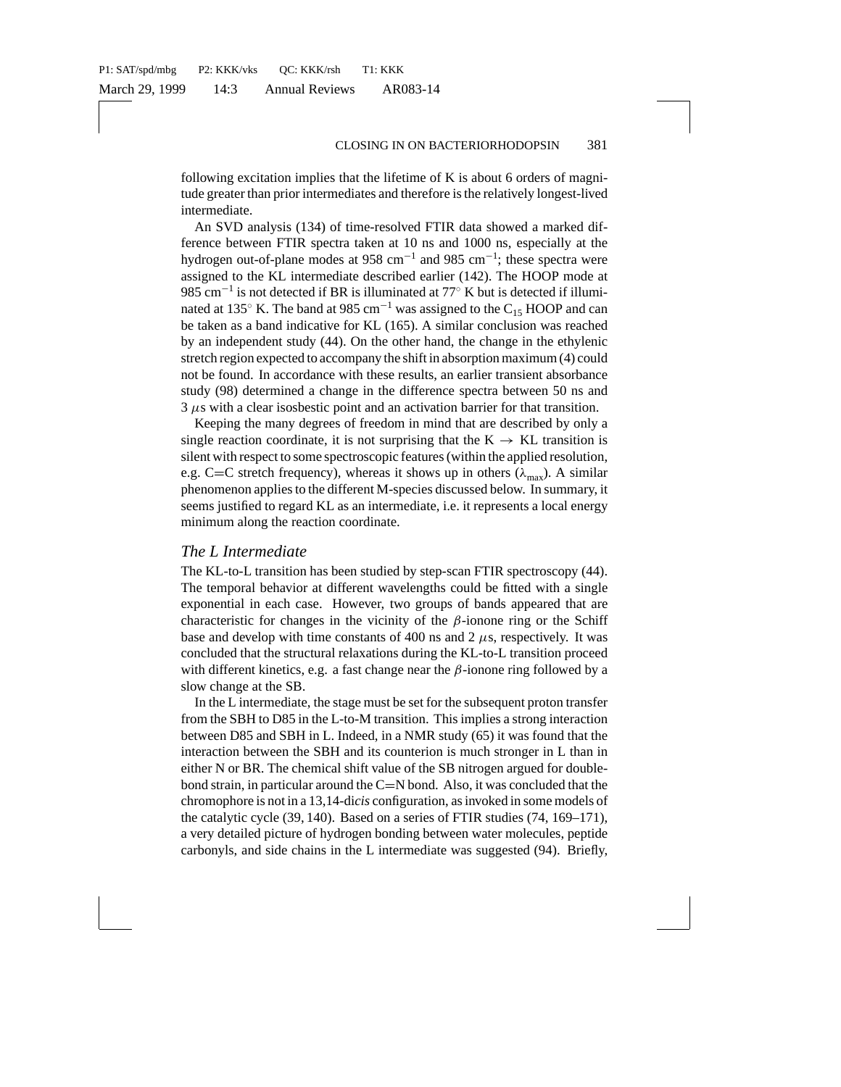following excitation implies that the lifetime of K is about 6 orders of magnitude greater than prior intermediates and therefore is the relatively longest-lived intermediate.

An SVD analysis (134) of time-resolved FTIR data showed a marked difference between FTIR spectra taken at 10 ns and 1000 ns, especially at the hydrogen out-of-plane modes at 958 cm<sup>-1</sup> and 985 cm<sup>-1</sup>; these spectra were assigned to the KL intermediate described earlier (142). The HOOP mode at 985 cm<sup>-1</sup> is not detected if BR is illuminated at  $77°$  K but is detected if illuminated at 135 $\degree$  K. The band at 985 cm<sup>-1</sup> was assigned to the C<sub>15</sub> HOOP and can be taken as a band indicative for KL (165). A similar conclusion was reached by an independent study (44). On the other hand, the change in the ethylenic stretch region expected to accompany the shift in absorption maximum (4) could not be found. In accordance with these results, an earlier transient absorbance study (98) determined a change in the difference spectra between 50 ns and  $3 \mu s$  with a clear isosbestic point and an activation barrier for that transition.

Keeping the many degrees of freedom in mind that are described by only a single reaction coordinate, it is not surprising that the  $K \rightarrow KL$  transition is silent with respect to some spectroscopic features (within the applied resolution, e.g. C=C stretch frequency), whereas it shows up in others ( $\lambda_{\text{max}}$ ). A similar phenomenon applies to the different M-species discussed below. In summary, it seems justified to regard KL as an intermediate, i.e. it represents a local energy minimum along the reaction coordinate.

#### *The L Intermediate*

The KL-to-L transition has been studied by step-scan FTIR spectroscopy (44). The temporal behavior at different wavelengths could be fitted with a single exponential in each case. However, two groups of bands appeared that are characteristic for changes in the vicinity of the  $\beta$ -ionone ring or the Schiff base and develop with time constants of 400 ns and 2  $\mu$ s, respectively. It was concluded that the structural relaxations during the KL-to-L transition proceed with different kinetics, e.g. a fast change near the  $\beta$ -ionone ring followed by a slow change at the SB.

In the L intermediate, the stage must be set for the subsequent proton transfer from the SBH to D85 in the L-to-M transition. This implies a strong interaction between D85 and SBH in L. Indeed, in a NMR study (65) it was found that the interaction between the SBH and its counterion is much stronger in L than in either N or BR. The chemical shift value of the SB nitrogen argued for doublebond strain, in particular around the  $C=N$  bond. Also, it was concluded that the chromophore is not in a 13,14-di*cis* configuration, as invoked in some models of the catalytic cycle (39, 140). Based on a series of FTIR studies (74, 169–171), a very detailed picture of hydrogen bonding between water molecules, peptide carbonyls, and side chains in the L intermediate was suggested (94). Briefly,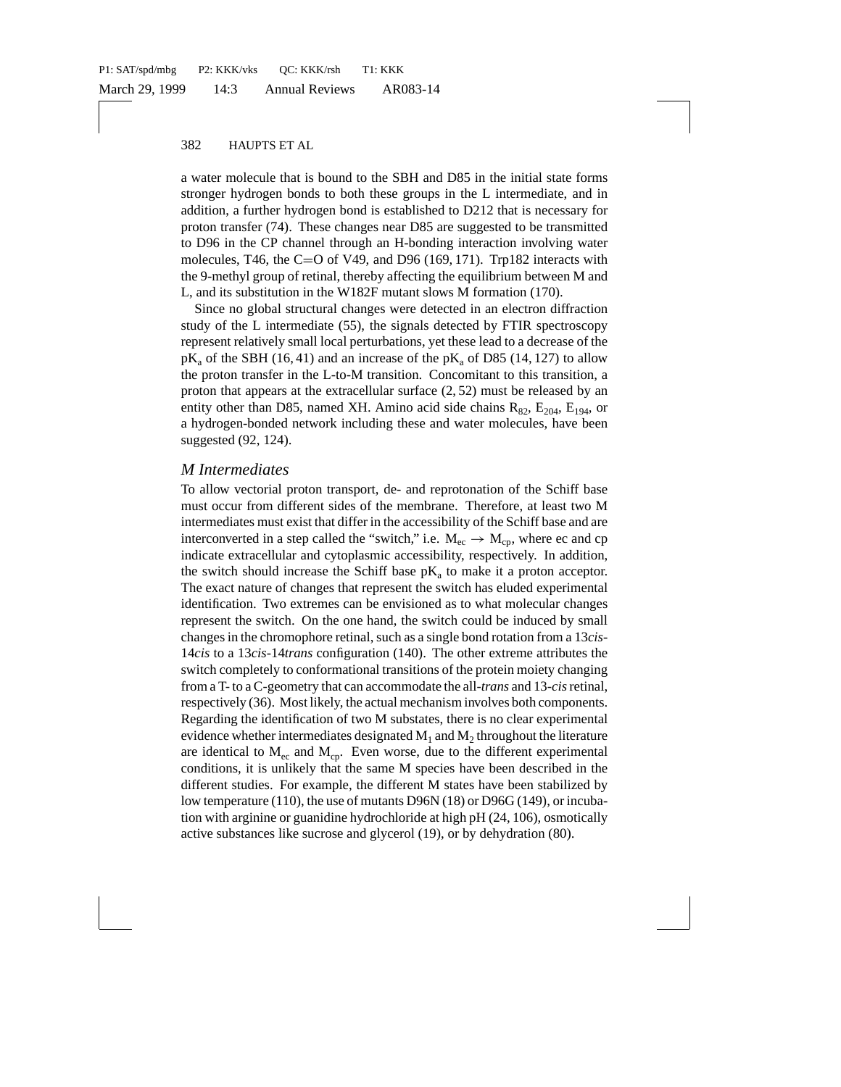a water molecule that is bound to the SBH and D85 in the initial state forms stronger hydrogen bonds to both these groups in the L intermediate, and in addition, a further hydrogen bond is established to D212 that is necessary for proton transfer (74). These changes near D85 are suggested to be transmitted to D96 in the CP channel through an H-bonding interaction involving water molecules, T46, the C=O of V49, and D96 (169, 171). Trp182 interacts with the 9-methyl group of retinal, thereby affecting the equilibrium between M and L, and its substitution in the W182F mutant slows M formation (170).

Since no global structural changes were detected in an electron diffraction study of the L intermediate (55), the signals detected by FTIR spectroscopy represent relatively small local perturbations, yet these lead to a decrease of the  $pK_a$  of the SBH (16, 41) and an increase of the  $pK_a$  of D85 (14, 127) to allow the proton transfer in the L-to-M transition. Concomitant to this transition, a proton that appears at the extracellular surface (2, 52) must be released by an entity other than D85, named XH. Amino acid side chains  $R_{82}$ ,  $E_{204}$ ,  $E_{194}$ , or a hydrogen-bonded network including these and water molecules, have been suggested (92, 124).

# *M Intermediates*

To allow vectorial proton transport, de- and reprotonation of the Schiff base must occur from different sides of the membrane. Therefore, at least two M intermediates must exist that differ in the accessibility of the Schiff base and are interconverted in a step called the "switch," i.e.  $M_{ec} \rightarrow M_{co}$ , where ec and cp indicate extracellular and cytoplasmic accessibility, respectively. In addition, the switch should increase the Schiff base  $pK_a$  to make it a proton acceptor. The exact nature of changes that represent the switch has eluded experimental identification. Two extremes can be envisioned as to what molecular changes represent the switch. On the one hand, the switch could be induced by small changes in the chromophore retinal, such as a single bond rotation from a 13*cis*-14*cis* to a 13*cis*-14*trans* configuration (140). The other extreme attributes the switch completely to conformational transitions of the protein moiety changing from a T- to a C-geometry that can accommodate the all-*trans* and 13-*cis*retinal, respectively (36). Most likely, the actual mechanism involves both components. Regarding the identification of two M substates, there is no clear experimental evidence whether intermediates designated  $M_1$  and  $M_2$  throughout the literature are identical to  $M_{\text{ee}}$  and  $M_{\text{ce}}$ . Even worse, due to the different experimental conditions, it is unlikely that the same M species have been described in the different studies. For example, the different M states have been stabilized by low temperature (110), the use of mutants D96N (18) or D96G (149), or incubation with arginine or guanidine hydrochloride at high pH (24, 106), osmotically active substances like sucrose and glycerol (19), or by dehydration (80).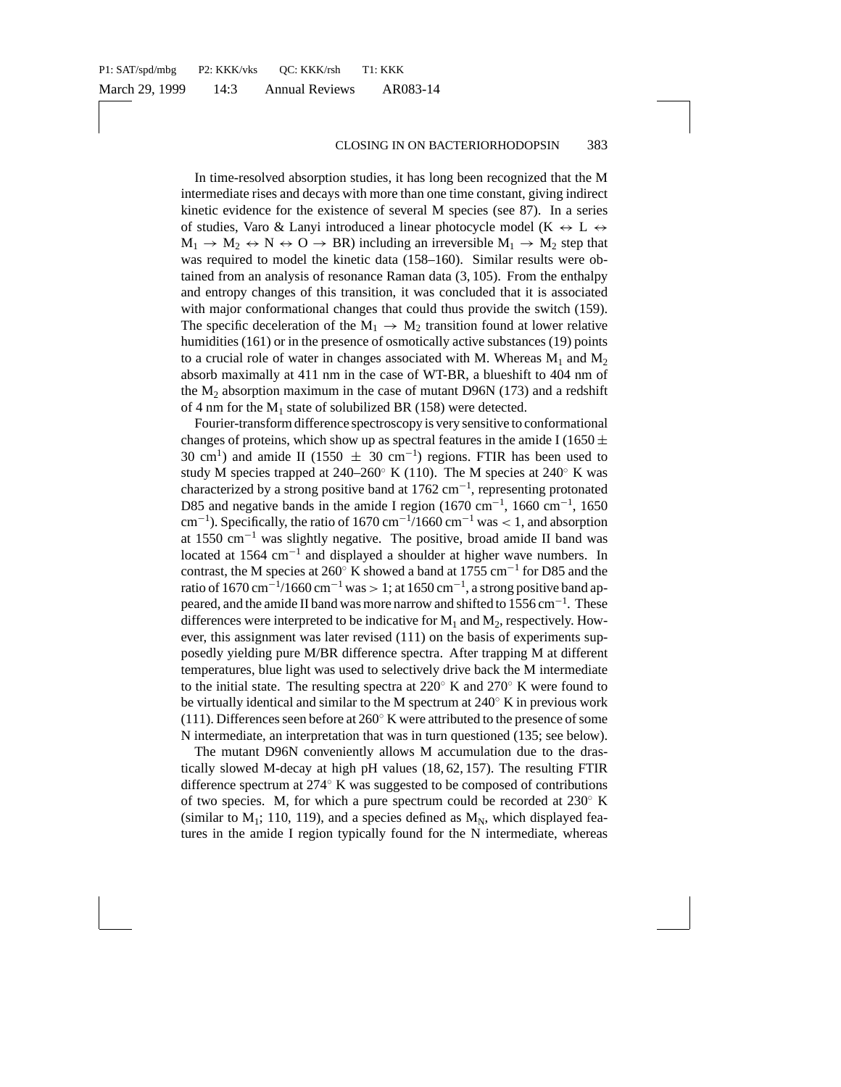In time-resolved absorption studies, it has long been recognized that the M intermediate rises and decays with more than one time constant, giving indirect kinetic evidence for the existence of several M species (see 87). In a series of studies, Varo & Lanyi introduced a linear photocycle model (K  $\leftrightarrow L \leftrightarrow$  $M_1 \rightarrow M_2 \leftrightarrow N \leftrightarrow O \rightarrow BR$ ) including an irreversible  $M_1 \rightarrow M_2$  step that was required to model the kinetic data (158–160). Similar results were obtained from an analysis of resonance Raman data (3, 105). From the enthalpy and entropy changes of this transition, it was concluded that it is associated with major conformational changes that could thus provide the switch (159). The specific deceleration of the  $M_1 \rightarrow M_2$  transition found at lower relative humidities (161) or in the presence of osmotically active substances (19) points to a crucial role of water in changes associated with M. Whereas  $M_1$  and  $M_2$ absorb maximally at 411 nm in the case of WT-BR, a blueshift to 404 nm of the  $M<sub>2</sub>$  absorption maximum in the case of mutant D96N (173) and a redshift of 4 nm for the  $M_1$  state of solubilized BR (158) were detected.

Fourier-transform difference spectroscopy is very sensitive to conformational changes of proteins, which show up as spectral features in the amide I (1650  $\pm$ 30 cm<sup>1</sup>) and amide II (1550  $\pm$  30 cm<sup>-1</sup>) regions. FTIR has been used to study M species trapped at  $240-260°$  K (110). The M species at  $240°$  K was characterized by a strong positive band at  $1762 \text{ cm}^{-1}$ , representing protonated D85 and negative bands in the amide I region (1670 cm<sup>-1</sup>, 1660 cm<sup>-1</sup>, 1650 cm<sup>-1</sup>). Specifically, the ratio of 1670 cm<sup>-1</sup>/1660 cm<sup>-1</sup> was < 1, and absorption at 1550 cm<sup>−</sup><sup>1</sup> was slightly negative. The positive, broad amide II band was located at 1564 cm<sup>−</sup><sup>1</sup> and displayed a shoulder at higher wave numbers. In contrast, the M species at 260◦ K showed a band at 1755 cm<sup>−</sup><sup>1</sup> for D85 and the ratio of 1670 cm<sup>-1</sup>/1660 cm<sup>-1</sup> was > 1; at 1650 cm<sup>-1</sup>, a strong positive band appeared, and the amide II band was more narrow and shifted to 1556 cm<sup>-1</sup>. These differences were interpreted to be indicative for  $M_1$  and  $M_2$ , respectively. However, this assignment was later revised (111) on the basis of experiments supposedly yielding pure M/BR difference spectra. After trapping M at different temperatures, blue light was used to selectively drive back the M intermediate to the initial state. The resulting spectra at 220◦ K and 270◦ K were found to be virtually identical and similar to the M spectrum at 240◦ K in previous work (111). Differences seen before at  $260°$  K were attributed to the presence of some N intermediate, an interpretation that was in turn questioned (135; see below).

The mutant D96N conveniently allows M accumulation due to the drastically slowed M-decay at high pH values (18, 62, 157). The resulting FTIR difference spectrum at 274◦ K was suggested to be composed of contributions of two species. M, for which a pure spectrum could be recorded at 230◦ K (similar to  $M_1$ ; 110, 119), and a species defined as  $M_N$ , which displayed features in the amide I region typically found for the N intermediate, whereas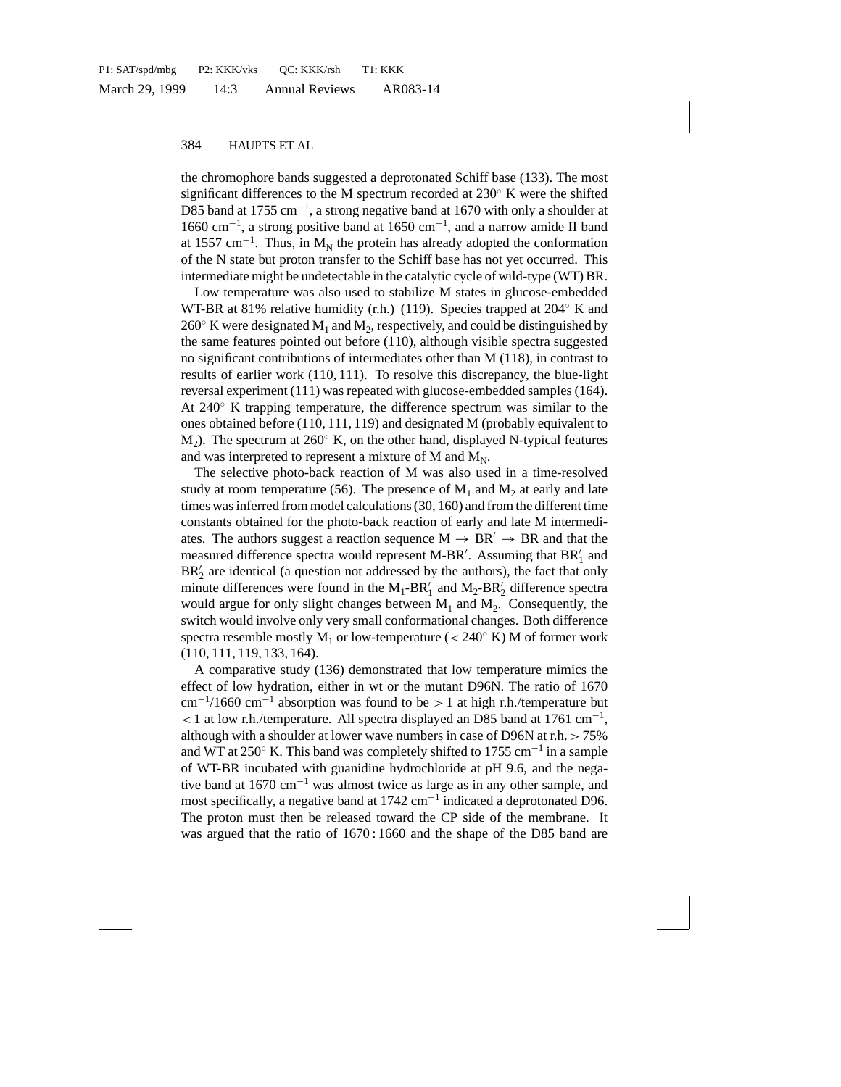the chromophore bands suggested a deprotonated Schiff base (133). The most significant differences to the M spectrum recorded at 230◦ K were the shifted D85 band at 1755 cm<sup>-1</sup>, a strong negative band at 1670 with only a shoulder at 1660 cm<sup>−</sup><sup>1</sup> , a strong positive band at 1650 cm<sup>−</sup><sup>1</sup> , and a narrow amide II band at 1557 cm<sup>-1</sup>. Thus, in  $M_N$  the protein has already adopted the conformation of the N state but proton transfer to the Schiff base has not yet occurred. This intermediate might be undetectable in the catalytic cycle of wild-type (WT) BR.

Low temperature was also used to stabilize M states in glucose-embedded WT-BR at 81% relative humidity (r.h.) (119). Species trapped at 204◦ K and  $260°$  K were designated M<sub>1</sub> and M<sub>2</sub>, respectively, and could be distinguished by the same features pointed out before (110), although visible spectra suggested no significant contributions of intermediates other than M (118), in contrast to results of earlier work (110, 111). To resolve this discrepancy, the blue-light reversal experiment (111) was repeated with glucose-embedded samples (164). At 240◦ K trapping temperature, the difference spectrum was similar to the ones obtained before (110, 111, 119) and designated M (probably equivalent to  $M<sub>2</sub>$ ). The spectrum at 260 $\degree$  K, on the other hand, displayed N-typical features and was interpreted to represent a mixture of M and  $M_N$ .

The selective photo-back reaction of M was also used in a time-resolved study at room temperature (56). The presence of  $M_1$  and  $M_2$  at early and late times was inferred from model calculations (30, 160) and from the different time constants obtained for the photo-back reaction of early and late M intermediates. The authors suggest a reaction sequence  $M \rightarrow BR' \rightarrow BR$  and that the measured difference spectra would represent M-BR'. Assuming that BR'<sub>1</sub> and  $BR<sub>2</sub>$  are identical (a question not addressed by the authors), the fact that only minute differences were found in the  $M_1$ -BR'<sub>1</sub> and  $M_2$ -BR'<sub>2</sub> difference spectra would argue for only slight changes between  $M_1$  and  $M_2$ . Consequently, the switch would involve only very small conformational changes. Both difference spectra resemble mostly  $M_1$  or low-temperature (< 240 $\degree$  K) M of former work (110, 111, 119, 133, 164).

A comparative study (136) demonstrated that low temperature mimics the effect of low hydration, either in wt or the mutant D96N. The ratio of 1670  $\text{cm}^{-1}/1660 \text{ cm}^{-1}$  absorption was found to be > 1 at high r.h./temperature but < 1 at low r.h./temperature. All spectra displayed an D85 band at 1761 cm<sup>−</sup><sup>1</sup> , although with a shoulder at lower wave numbers in case of D96N at r.h.  $> 75\%$ and WT at 250 $\degree$  K. This band was completely shifted to 1755 cm<sup>-1</sup> in a sample of WT-BR incubated with guanidine hydrochloride at pH 9.6, and the negative band at 1670 cm<sup>−</sup><sup>1</sup> was almost twice as large as in any other sample, and most specifically, a negative band at 1742 cm<sup>-1</sup> indicated a deprotonated D96. The proton must then be released toward the CP side of the membrane. It was argued that the ratio of 1670 : 1660 and the shape of the D85 band are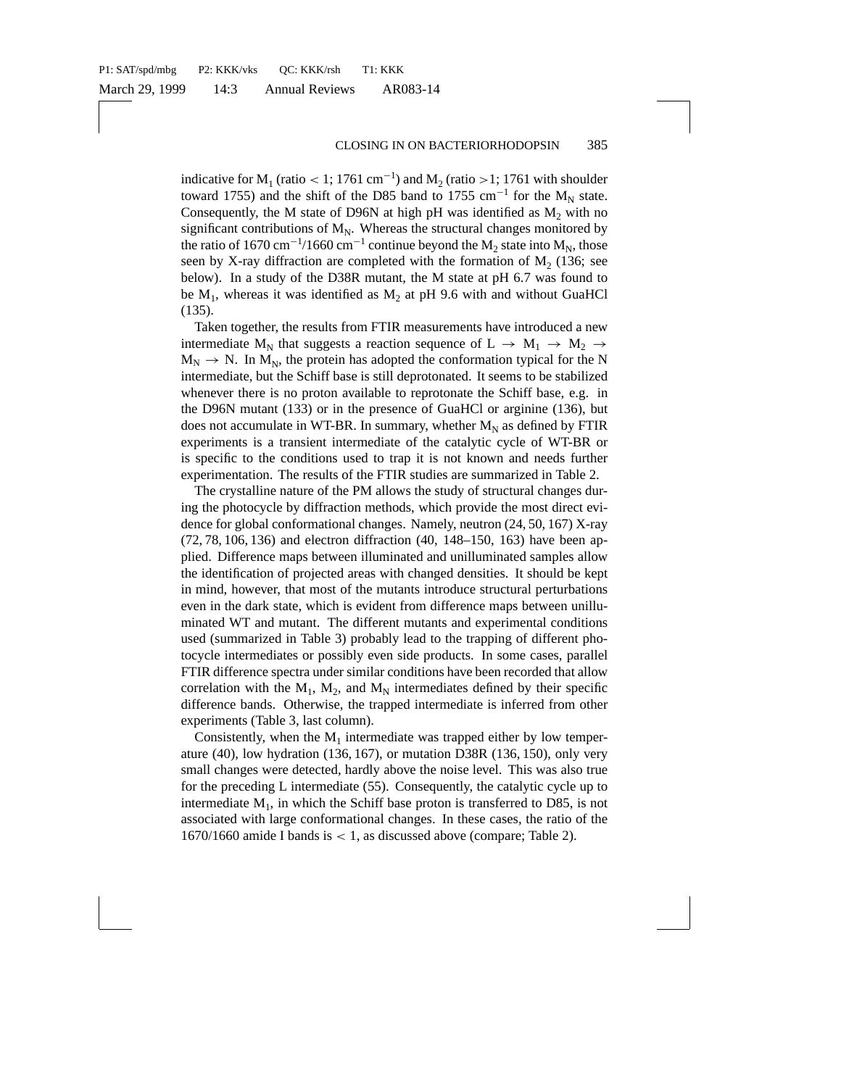indicative for  $M_1$  (ratio < 1; 1761 cm<sup>-1</sup>) and  $M_2$  (ratio >1; 1761 with shoulder toward 1755) and the shift of the D85 band to 1755 cm<sup>-1</sup> for the M<sub>N</sub> state. Consequently, the M state of D96N at high pH was identified as  $M_2$  with no significant contributions of  $M_N$ . Whereas the structural changes monitored by the ratio of 1670 cm<sup>-1</sup>/1660 cm<sup>-1</sup> continue beyond the M<sub>2</sub> state into M<sub>N</sub>, those seen by X-ray diffraction are completed with the formation of  $M<sub>2</sub>$  (136; see below). In a study of the D38R mutant, the M state at pH 6.7 was found to be  $M_1$ , whereas it was identified as  $M_2$  at pH 9.6 with and without GuaHCl (135).

Taken together, the results from FTIR measurements have introduced a new intermediate  $M_N$  that suggests a reaction sequence of  $L \rightarrow M_1 \rightarrow M_2 \rightarrow$  $M_N \rightarrow N$ . In  $M_N$ , the protein has adopted the conformation typical for the N intermediate, but the Schiff base is still deprotonated. It seems to be stabilized whenever there is no proton available to reprotonate the Schiff base, e.g. in the D96N mutant (133) or in the presence of GuaHCl or arginine (136), but does not accumulate in WT-BR. In summary, whether  $M_N$  as defined by FTIR experiments is a transient intermediate of the catalytic cycle of WT-BR or is specific to the conditions used to trap it is not known and needs further experimentation. The results of the FTIR studies are summarized in Table 2.

The crystalline nature of the PM allows the study of structural changes during the photocycle by diffraction methods, which provide the most direct evidence for global conformational changes. Namely, neutron (24, 50, 167) X-ray (72, 78, 106, 136) and electron diffraction (40, 148–150, 163) have been applied. Difference maps between illuminated and unilluminated samples allow the identification of projected areas with changed densities. It should be kept in mind, however, that most of the mutants introduce structural perturbations even in the dark state, which is evident from difference maps between unilluminated WT and mutant. The different mutants and experimental conditions used (summarized in Table 3) probably lead to the trapping of different photocycle intermediates or possibly even side products. In some cases, parallel FTIR difference spectra under similar conditions have been recorded that allow correlation with the  $M_1$ ,  $M_2$ , and  $M_N$  intermediates defined by their specific difference bands. Otherwise, the trapped intermediate is inferred from other experiments (Table 3, last column).

Consistently, when the  $M_1$  intermediate was trapped either by low temperature (40), low hydration (136, 167), or mutation D38R (136, 150), only very small changes were detected, hardly above the noise level. This was also true for the preceding L intermediate (55). Consequently, the catalytic cycle up to intermediate  $M_1$ , in which the Schiff base proton is transferred to D85, is not associated with large conformational changes. In these cases, the ratio of the 1670/1660 amide I bands is < 1, as discussed above (compare; Table 2).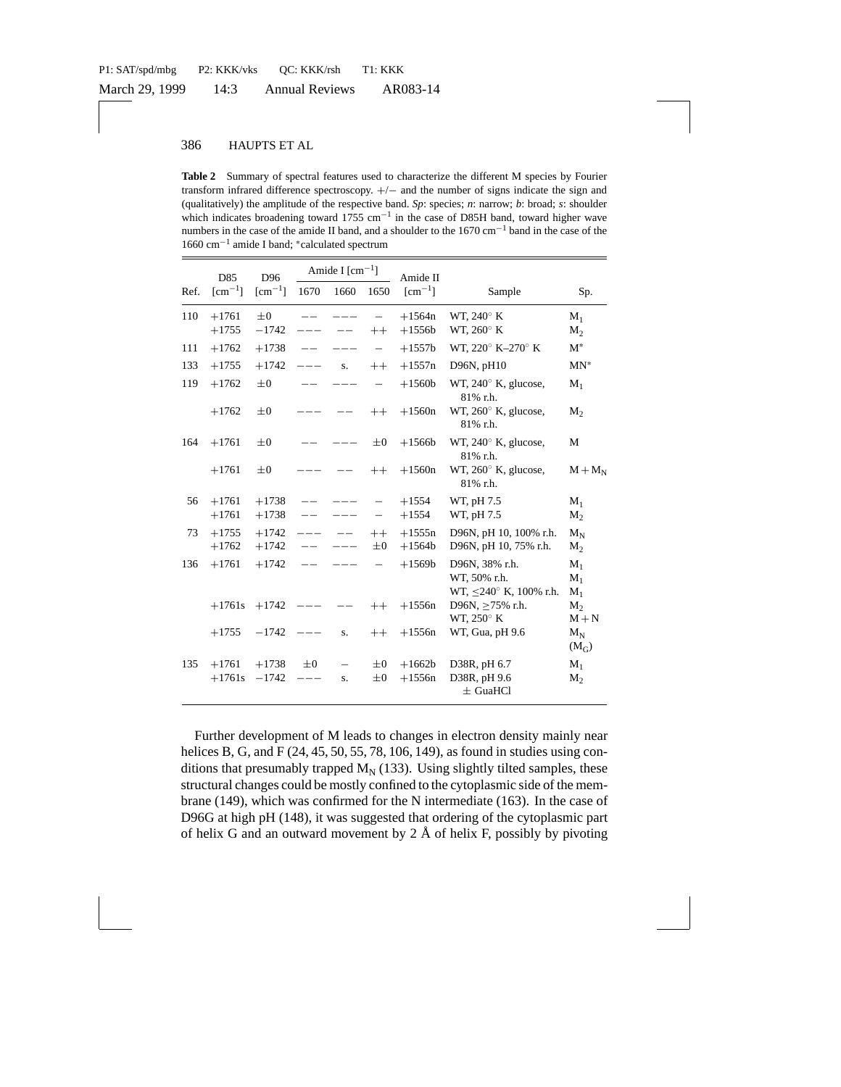**Table 2** Summary of spectral features used to characterize the different M species by Fourier transform infrared difference spectroscopy. +/− and the number of signs indicate the sign and (qualitatively) the amplitude of the respective band. *Sp*: species; *n*: narrow; *b*: broad; *s*: shoulder which indicates broadening toward 1755 cm<sup>-1</sup> in the case of D85H band, toward higher wave numbers in the case of the amide II band, and a shoulder to the 1670 cm−<sup>1</sup> band in the case of the 1660 cm−<sup>1</sup> amide I band; <sup>∗</sup>calculated spectrum

|      | D85                          | D96                                | Amide I $[cm^{-1}]$ |      |                    | Amide II                  |                                                                |                         |  |
|------|------------------------------|------------------------------------|---------------------|------|--------------------|---------------------------|----------------------------------------------------------------|-------------------------|--|
| Ref. | $\lfloor$ cm <sup>-1</sup> ] | $\lceil$ cm <sup>-1</sup> $\rceil$ | 1670                | 1660 | 1650               | $\lceil$ cm <sup>-1</sup> | Sample                                                         | Sp.                     |  |
| 110  | $+1761$<br>$+1755$           | $\pm 0$<br>$-1742$                 |                     |      | $^{++}$            | $+1564n$<br>$+1556b$      | WT, $240^\circ$ K<br>WT, 260° K                                | $M_1$<br>$M_{2}$        |  |
| 111  | $+1762$                      | $+1738$                            |                     |      |                    | $+1557b$                  | WT. 220° K-270° K                                              | $M^*$                   |  |
| 133  | $+1755$                      | $+1742$                            |                     | S.   | $++$               | $+1557n$                  | D96N, pH10                                                     | $MN^*$                  |  |
| 119  | $+1762$                      | $\pm 0$                            |                     |      |                    | $+1560b$                  | WT, $240^\circ$ K, glucose,<br>81% r.h.                        | $M_1$                   |  |
|      | $+1762$                      | $\pm 0$                            |                     |      | $++$               | $+1560n$                  | WT, $260^\circ$ K, glucose,<br>81% r.h.                        | M <sub>2</sub>          |  |
| 164  | $+1761$                      | $\pm 0$                            |                     |      | $\pm 0$            | $+1566b$                  | WT, $240^\circ$ K, glucose,<br>81% r.h.                        | М                       |  |
|      | $+1761$                      | $\pm 0$                            |                     |      | $++$               | $+1560n$                  | WT, 260° K, glucose,<br>81% r.h.                               | $M+M_N$                 |  |
| 56   | $+1761$                      | $+1738$                            |                     |      |                    | $+1554$                   | WT, pH 7.5                                                     | $M_1$                   |  |
|      | $+1761$                      | $+1738$                            |                     |      |                    | $+1554$                   | WT, pH 7.5                                                     | M <sub>2</sub>          |  |
| 73   | $+1755$<br>$+1762$           | $+1742$<br>$+1742$                 |                     |      | $++$<br>$_{\pm 0}$ | $+1555n$<br>$+1564b$      | D96N, pH 10, 100% r.h.<br>D96N, pH 10, 75% r.h.                | $M_N$<br>M <sub>2</sub> |  |
| 136  | $+1761$                      | $+1742$                            |                     |      |                    | $+1569b$                  | D96N, 38% r.h.<br>WT, 50% r.h.<br>WT, $\leq$ 240° K, 100% r.h. | $M_1$<br>$M_1$<br>$M_1$ |  |
|      | $+1761s$                     | $+1742$                            |                     |      | $++$               | $+1556n$                  | D96N, $>75\%$ r.h.<br>WT, 250° K                               | $M_{2}$<br>$M + N$      |  |
|      | $+1755$                      | $-1742$                            |                     | S.   | $++$               | $+1556n$                  | WT, Gua, pH 9.6                                                | $M_N$<br>$(M_G)$        |  |
| 135  | $+1761$                      | $+1738$                            | $\pm 0$             | —    | $\pm 0$            | $+1662b$                  | D38R, pH 6.7                                                   | $M_1$                   |  |
|      | $+1761s$                     | $-1742$                            |                     | S.   | $\pm 0$            | $+1556n$                  | D38R, pH 9.6<br>$\pm$ GuaHCl                                   | $M_{2}$                 |  |

Further development of M leads to changes in electron density mainly near helices B, G, and F (24, 45, 50, 55, 78, 106, 149), as found in studies using conditions that presumably trapped  $M_N$  (133). Using slightly tilted samples, these structural changes could be mostly confined to the cytoplasmic side of the membrane (149), which was confirmed for the N intermediate (163). In the case of D96G at high pH (148), it was suggested that ordering of the cytoplasmic part of helix G and an outward movement by  $2 \text{ Å}$  of helix F, possibly by pivoting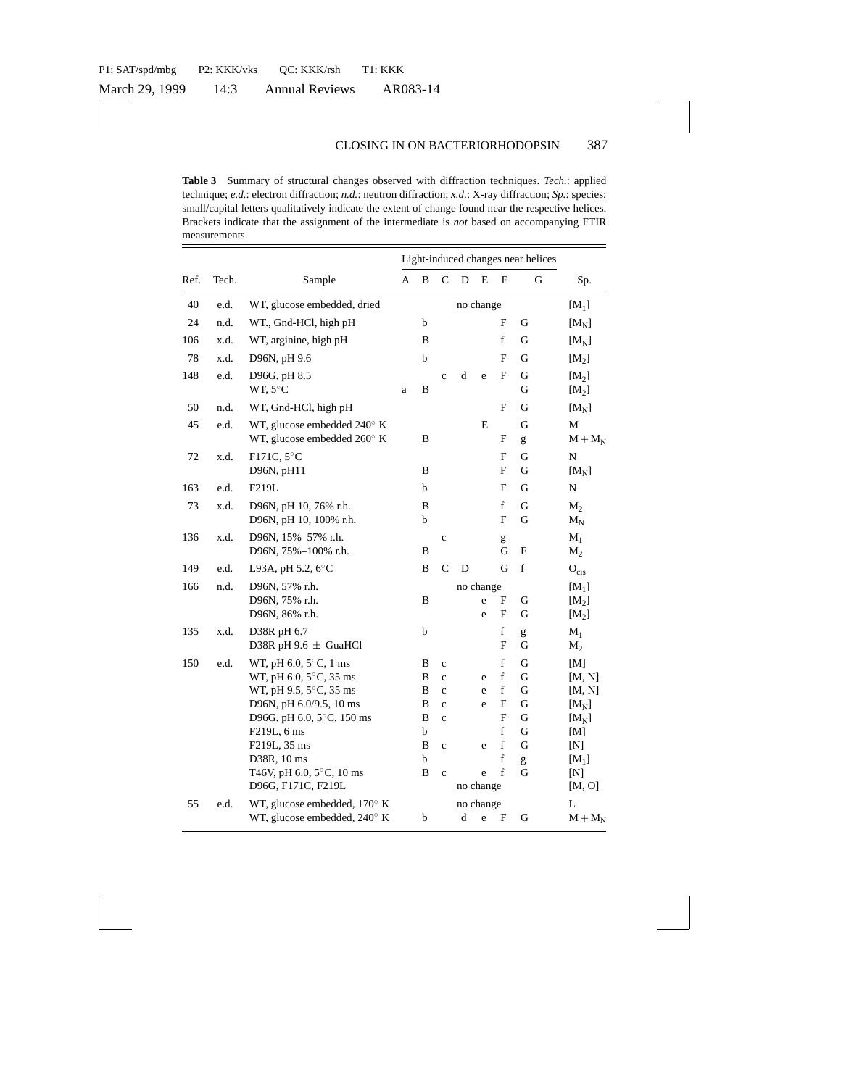|               |      |                                                                     |           | Light-induced changes near helices                 |                            |           |        |                             |                               |                              |  |
|---------------|------|---------------------------------------------------------------------|-----------|----------------------------------------------------|----------------------------|-----------|--------|-----------------------------|-------------------------------|------------------------------|--|
| Ref.<br>Tech. |      | Sample                                                              |           | B                                                  | $\mathsf{C}$               | D         | E      | F                           | G                             | Sp.                          |  |
| 40            | e.d. | WT, glucose embedded, dried                                         | no change |                                                    |                            |           |        |                             |                               | $[M_1]$                      |  |
| 24            | n.d. | WT., Gnd-HCl, high pH                                               |           | b                                                  |                            |           |        | F                           | G                             | $[M_N]$                      |  |
| 106           | x.d. | WT, arginine, high pH                                               |           | B                                                  |                            |           |        | $\mathbf f$                 | G                             | $[M_N]$                      |  |
| 78            | x.d. | D96N, pH 9.6                                                        |           | b                                                  |                            |           |        | F                           | G                             | [M <sub>2</sub> ]            |  |
| 148           | e.d. | D96G, pH 8.5<br>WT, 5°C                                             | a         | B                                                  | $\mathbf c$                | $\rm d$   | e      | $\mathbf F$                 | G<br>G                        | [M <sub>2</sub> ]<br>$[M_2]$ |  |
| 50            | n.d. | WT, Gnd-HCl, high pH                                                |           |                                                    |                            |           |        | $\mathbf{F}$                | G                             | $[M_N]$                      |  |
| 45            | e.d. | WT, glucose embedded 240° K<br>WT, glucose embedded $260^{\circ}$ K |           | B                                                  |                            |           | E      | F                           | G<br>g                        | M<br>$M + M_N$               |  |
| 72            | x.d. | F171C, 5°C<br>D96N, pH11                                            |           | B                                                  |                            |           |        | F<br>F                      | G<br>G                        | N<br>$[M_N]$                 |  |
| 163           | e.d. | F219L                                                               |           | b                                                  |                            |           |        | F                           | G                             | N                            |  |
| 73            | x.d. | D96N, pH 10, 76% r.h.<br>D96N, pH 10, 100% r.h.                     |           | B<br>b                                             |                            |           |        | f<br>F                      | G<br>G                        | $M_2$<br>$M_N$               |  |
| 136           | x.d. | D96N, 15%-57% r.h.<br>D96N, 75%-100% r.h.                           |           | B                                                  | $\mathbf c$                |           |        | g<br>G                      | F                             | $M_1$<br>$M_2$               |  |
| 149           | e.d. | L93A, pH 5.2, 6°C                                                   |           | B                                                  | $\mathsf{C}$               | D         |        | G                           | f                             | $O_{\text{cis}}$             |  |
| 166           | n.d. | D96N, 57% r.h.<br>D96N, 75% r.h.<br>D96N, 86% r.h.                  |           | no change<br>B<br>F<br>G<br>e<br>$\mathbf{F}$<br>e |                            |           |        | G                           | $[M_1]$<br>$[M_2]$<br>$[M_2]$ |                              |  |
| 135           | x.d. | D38R pH 6.7<br>D38R pH 9.6 $\pm$ GuaHCl                             |           | b                                                  |                            |           |        | $\mathbf f$<br>$\mathbf{F}$ | g<br>G                        | $M_1$<br>$M_2$               |  |
| 150           | e.d. | WT, pH $6.0, 5^{\circ}$ C, 1 ms                                     |           | B                                                  | $\mathbf c$                |           |        | $\mathbf f$                 | G                             | [M]                          |  |
|               |      | WT, pH 6.0, 5°C, 35 ms                                              |           | B                                                  | $\mathbf c$                |           | e      | f                           | G                             | [M, N]                       |  |
|               |      | WT, pH 9.5, 5°C, 35 ms<br>D96N, pH 6.0/9.5, 10 ms                   |           | B<br>B                                             | $\mathbf c$<br>$\mathbf c$ |           | e<br>e | f<br>F                      | G<br>G                        | [M, N]                       |  |
|               |      | D96G, pH 6.0, 5°C, 150 ms                                           |           | B                                                  | $\mathbf c$                |           |        | F                           | G                             | $[M_N]$<br>$[M_N]$           |  |
|               |      | F219L, 6 ms                                                         |           | b                                                  |                            |           |        | $\mathbf f$                 | G                             | [M]                          |  |
|               |      | F219L, 35 ms                                                        |           | B                                                  | $\mathbf c$                |           | e      | $\mathbf f$                 | G                             | [N]                          |  |
|               |      | D38R, 10 ms                                                         |           | b                                                  |                            |           |        | f                           | g                             | $[M_1]$                      |  |
|               |      | T46V, pH 6.0, 5°C, 10 ms                                            |           | B                                                  | $\mathbf c$                |           | e      | $\mathbf f$                 | G                             | [N]                          |  |
|               |      | D96G, F171C, F219L                                                  | no change |                                                    |                            |           |        |                             |                               | [M, O]                       |  |
| 55            | e.d. | WT, glucose embedded, $170^{\circ}$ K                               |           |                                                    |                            | no change |        |                             |                               | L                            |  |
|               |      | WT, glucose embedded, 240° K                                        |           | b                                                  |                            | d         | e      | F                           | G                             | $M + M_N$                    |  |

**Table 3** Summary of structural changes observed with diffraction techniques. *Tech.*: applied technique; *e.d.*: electron diffraction; *n.d.*: neutron diffraction; *x.d.*: X-ray diffraction; *Sp.*: species; small/capital letters qualitatively indicate the extent of change found near the respective helices. Brackets indicate that the assignment of the intermediate is *not* based on accompanying FTIR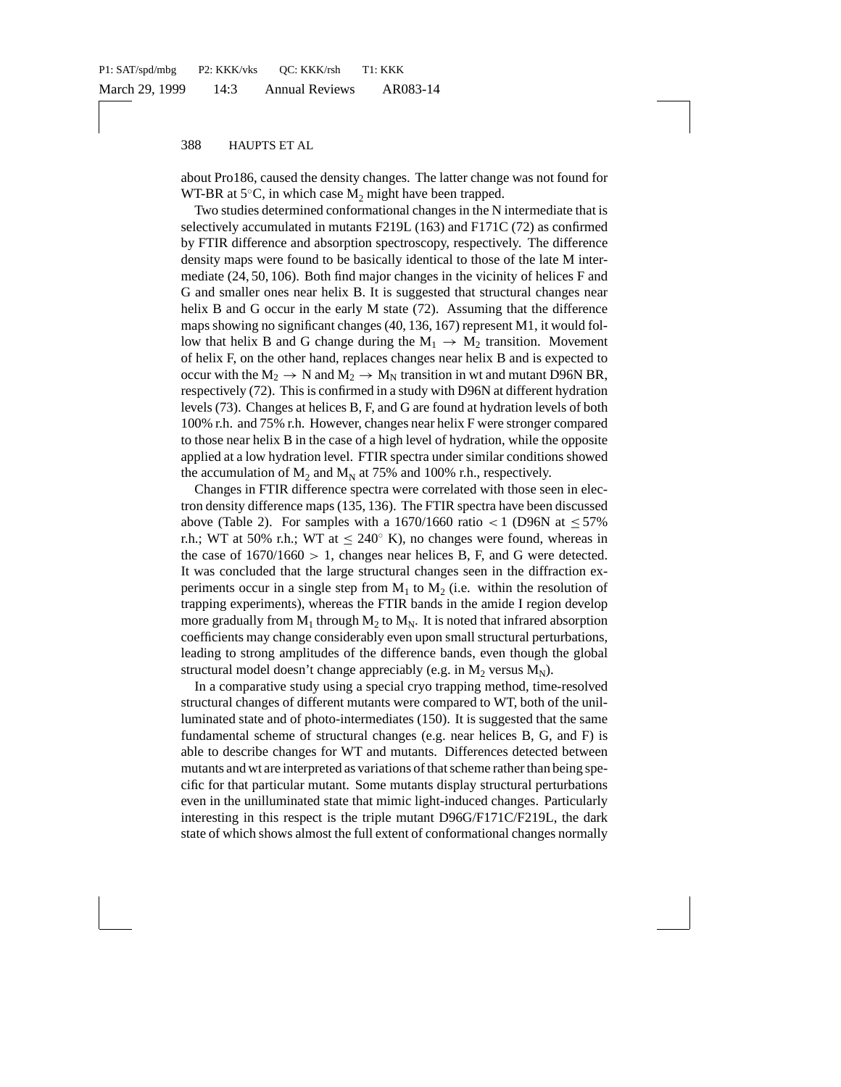about Pro186, caused the density changes. The latter change was not found for WT-BR at  $5^{\circ}$ C, in which case M<sub>2</sub> might have been trapped.

Two studies determined conformational changes in the N intermediate that is selectively accumulated in mutants F219L (163) and F171C (72) as confirmed by FTIR difference and absorption spectroscopy, respectively. The difference density maps were found to be basically identical to those of the late M intermediate (24, 50, 106). Both find major changes in the vicinity of helices F and G and smaller ones near helix B. It is suggested that structural changes near helix B and G occur in the early M state (72). Assuming that the difference maps showing no significant changes (40, 136, 167) represent M1, it would follow that helix B and G change during the  $M_1 \rightarrow M_2$  transition. Movement of helix F, on the other hand, replaces changes near helix B and is expected to occur with the  $M_2 \rightarrow N$  and  $M_2 \rightarrow M_N$  transition in wt and mutant D96N BR, respectively (72). This is confirmed in a study with D96N at different hydration levels (73). Changes at helices B, F, and G are found at hydration levels of both 100% r.h. and 75% r.h. However, changes near helix F were stronger compared to those near helix B in the case of a high level of hydration, while the opposite applied at a low hydration level. FTIR spectra under similar conditions showed the accumulation of  $M_2$  and  $M_N$  at 75% and 100% r.h., respectively.

Changes in FTIR difference spectra were correlated with those seen in electron density difference maps (135, 136). The FTIR spectra have been discussed above (Table 2). For samples with a 1670/1660 ratio  $\lt 1$  (D96N at  $\leq 57\%$ r.h.; WT at 50% r.h.; WT at  $\leq 240^{\circ}$  K), no changes were found, whereas in the case of  $1670/1660 > 1$ , changes near helices B, F, and G were detected. It was concluded that the large structural changes seen in the diffraction experiments occur in a single step from  $M_1$  to  $M_2$  (i.e. within the resolution of trapping experiments), whereas the FTIR bands in the amide I region develop more gradually from  $M_1$  through  $M_2$  to  $M_N$ . It is noted that infrared absorption coefficients may change considerably even upon small structural perturbations, leading to strong amplitudes of the difference bands, even though the global structural model doesn't change appreciably (e.g. in  $M_2$  versus  $M_N$ ).

In a comparative study using a special cryo trapping method, time-resolved structural changes of different mutants were compared to WT, both of the unilluminated state and of photo-intermediates (150). It is suggested that the same fundamental scheme of structural changes (e.g. near helices B, G, and F) is able to describe changes for WT and mutants. Differences detected between mutants and wt are interpreted as variations of that scheme rather than being specific for that particular mutant. Some mutants display structural perturbations even in the unilluminated state that mimic light-induced changes. Particularly interesting in this respect is the triple mutant D96G/F171C/F219L, the dark state of which shows almost the full extent of conformational changes normally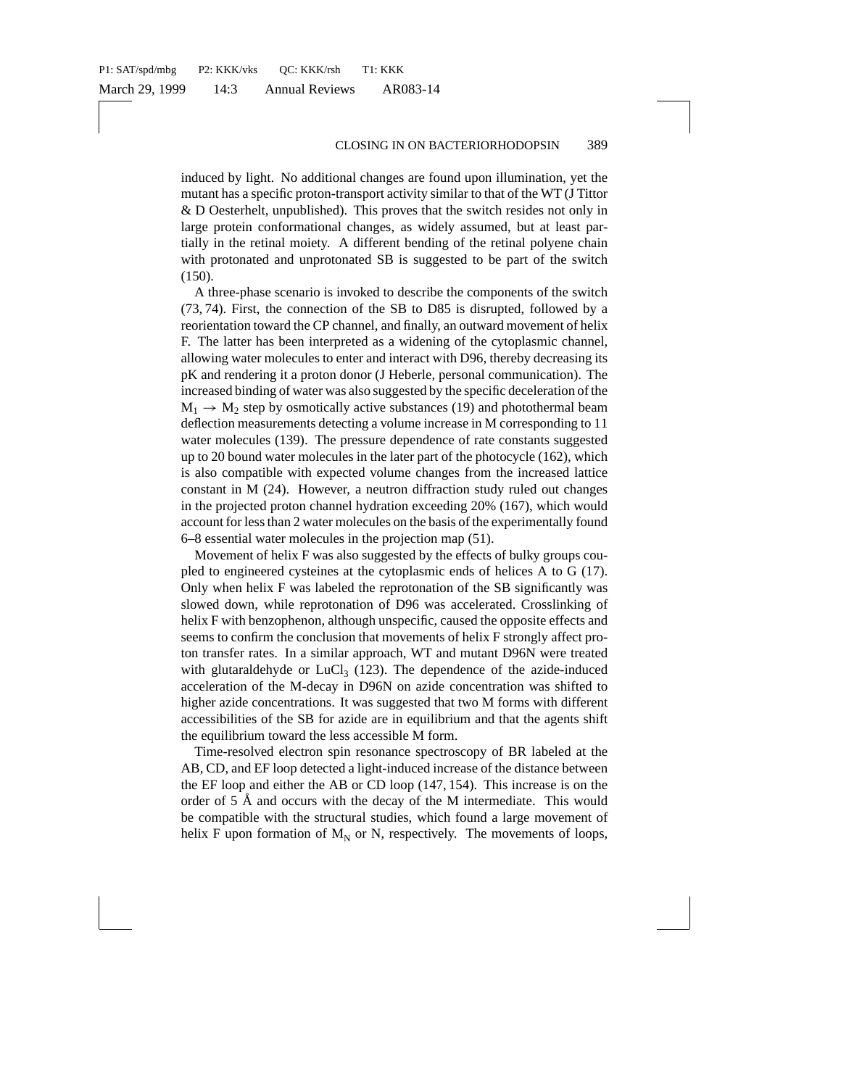induced by light. No additional changes are found upon illumination, yet the mutant has a specific proton-transport activity similar to that of the WT (J Tittor & D Oesterhelt, unpublished). This proves that the switch resides not only in large protein conformational changes, as widely assumed, but at least partially in the retinal moiety. A different bending of the retinal polyene chain with protonated and unprotonated SB is suggested to be part of the switch (150).

A three-phase scenario is invoked to describe the components of the switch (73, 74). First, the connection of the SB to D85 is disrupted, followed by a reorientation toward the CP channel, and finally, an outward movement of helix F. The latter has been interpreted as a widening of the cytoplasmic channel, allowing water molecules to enter and interact with D96, thereby decreasing its pK and rendering it a proton donor (J Heberle, personal communication). The increased binding of water was also suggested by the specific deceleration of the  $M_1 \rightarrow M_2$  step by osmotically active substances (19) and photothermal beam deflection measurements detecting a volume increase in M corresponding to 11 water molecules (139). The pressure dependence of rate constants suggested up to 20 bound water molecules in the later part of the photocycle (162), which is also compatible with expected volume changes from the increased lattice constant in M (24). However, a neutron diffraction study ruled out changes in the projected proton channel hydration exceeding 20% (167), which would account for less than 2 water molecules on the basis of the experimentally found 6–8 essential water molecules in the projection map (51).

Movement of helix F was also suggested by the effects of bulky groups coupled to engineered cysteines at the cytoplasmic ends of helices A to G (17). Only when helix F was labeled the reprotonation of the SB significantly was slowed down, while reprotonation of D96 was accelerated. Crosslinking of helix F with benzophenon, although unspecific, caused the opposite effects and seems to confirm the conclusion that movements of helix F strongly affect proton transfer rates. In a similar approach, WT and mutant D96N were treated with glutaraldehyde or  $LuCl<sub>3</sub>$  (123). The dependence of the azide-induced acceleration of the M-decay in D96N on azide concentration was shifted to higher azide concentrations. It was suggested that two M forms with different accessibilities of the SB for azide are in equilibrium and that the agents shift the equilibrium toward the less accessible M form.

Time-resolved electron spin resonance spectroscopy of BR labeled at the AB, CD, and EF loop detected a light-induced increase of the distance between the EF loop and either the AB or CD loop (147, 154). This increase is on the order of  $5 \text{ Å}$  and occurs with the decay of the M intermediate. This would be compatible with the structural studies, which found a large movement of helix F upon formation of  $M_N$  or N, respectively. The movements of loops,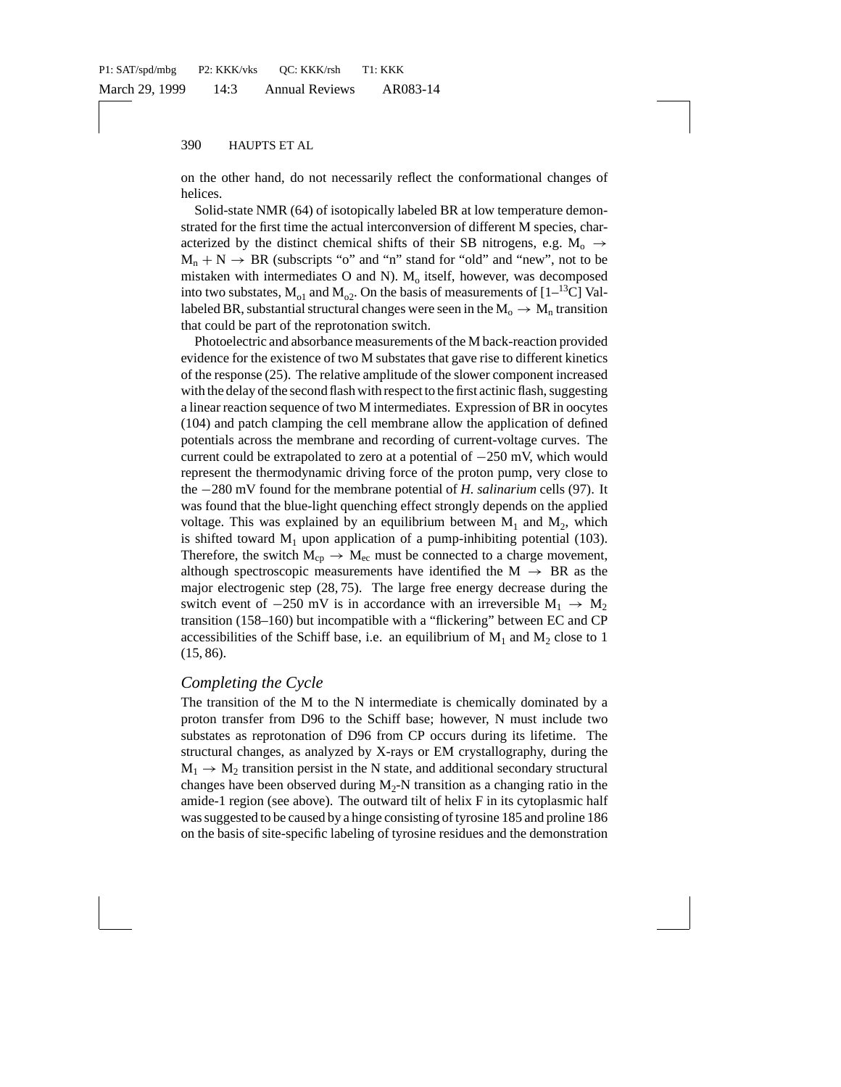on the other hand, do not necessarily reflect the conformational changes of helices.

Solid-state NMR (64) of isotopically labeled BR at low temperature demonstrated for the first time the actual interconversion of different M species, characterized by the distinct chemical shifts of their SB nitrogens, e.g.  $M_0 \rightarrow$  $M_n + N \rightarrow BR$  (subscripts "o" and "n" stand for "old" and "new", not to be mistaken with intermediates O and N).  $M<sub>o</sub>$  itself, however, was decomposed into two substates,  $M_{o1}$  and  $M_{o2}$ . On the basis of measurements of [1–<sup>13</sup>C] Vallabeled BR, substantial structural changes were seen in the  $M_0 \rightarrow M_n$  transition that could be part of the reprotonation switch.

Photoelectric and absorbance measurements of the M back-reaction provided evidence for the existence of two M substates that gave rise to different kinetics of the response (25). The relative amplitude of the slower component increased with the delay of the second flash with respect to the first actinic flash, suggesting a linear reaction sequence of two M intermediates. Expression of BR in oocytes (104) and patch clamping the cell membrane allow the application of defined potentials across the membrane and recording of current-voltage curves. The current could be extrapolated to zero at a potential of −250 mV, which would represent the thermodynamic driving force of the proton pump, very close to the −280 mV found for the membrane potential of *H. salinarium* cells (97). It was found that the blue-light quenching effect strongly depends on the applied voltage. This was explained by an equilibrium between  $M_1$  and  $M_2$ , which is shifted toward  $M_1$  upon application of a pump-inhibiting potential (103). Therefore, the switch  $M_{cp} \rightarrow M_{ec}$  must be connected to a charge movement, although spectroscopic measurements have identified the  $M \rightarrow BR$  as the major electrogenic step (28, 75). The large free energy decrease during the switch event of  $-250$  mV is in accordance with an irreversible  $M_1 \rightarrow M_2$ transition (158–160) but incompatible with a "flickering" between EC and CP accessibilities of the Schiff base, i.e. an equilibrium of  $M_1$  and  $M_2$  close to 1 (15, 86).

### *Completing the Cycle*

The transition of the M to the N intermediate is chemically dominated by a proton transfer from D96 to the Schiff base; however, N must include two substates as reprotonation of D96 from CP occurs during its lifetime. The structural changes, as analyzed by X-rays or EM crystallography, during the  $M_1 \rightarrow M_2$  transition persist in the N state, and additional secondary structural changes have been observed during  $M_2$ -N transition as a changing ratio in the amide-1 region (see above). The outward tilt of helix F in its cytoplasmic half was suggested to be caused by a hinge consisting of tyrosine 185 and proline 186 on the basis of site-specific labeling of tyrosine residues and the demonstration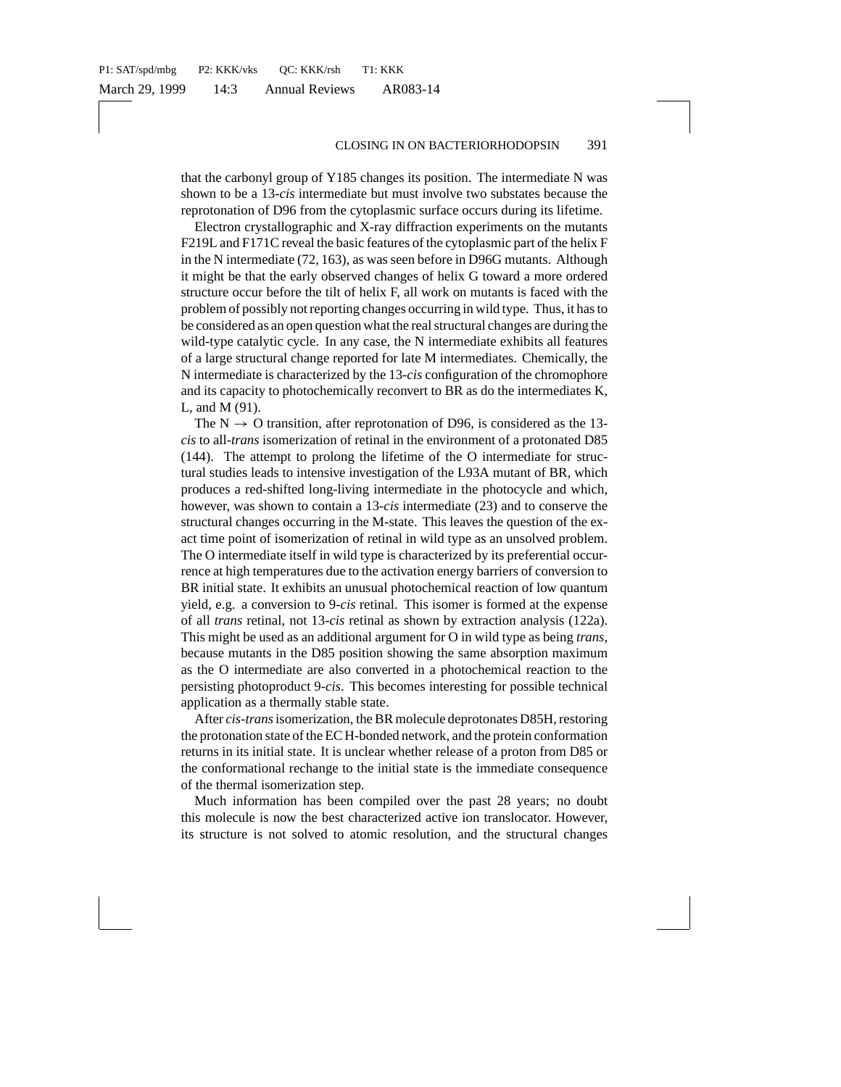that the carbonyl group of Y185 changes its position. The intermediate N was shown to be a 13-*cis* intermediate but must involve two substates because the reprotonation of D96 from the cytoplasmic surface occurs during its lifetime.

Electron crystallographic and X-ray diffraction experiments on the mutants F219L and F171C reveal the basic features of the cytoplasmic part of the helix F in the N intermediate (72, 163), as was seen before in D96G mutants. Although it might be that the early observed changes of helix G toward a more ordered structure occur before the tilt of helix F, all work on mutants is faced with the problem of possibly not reporting changes occurring in wild type. Thus, it has to be considered as an open question what the real structural changes are during the wild-type catalytic cycle. In any case, the N intermediate exhibits all features of a large structural change reported for late M intermediates. Chemically, the N intermediate is characterized by the 13-*cis* configuration of the chromophore and its capacity to photochemically reconvert to BR as do the intermediates K, L, and M (91).

The  $N \rightarrow O$  transition, after reprotonation of D96, is considered as the 13*cis* to all-*trans* isomerization of retinal in the environment of a protonated D85 (144). The attempt to prolong the lifetime of the O intermediate for structural studies leads to intensive investigation of the L93A mutant of BR, which produces a red-shifted long-living intermediate in the photocycle and which, however, was shown to contain a 13-*cis* intermediate (23) and to conserve the structural changes occurring in the M-state. This leaves the question of the exact time point of isomerization of retinal in wild type as an unsolved problem. The O intermediate itself in wild type is characterized by its preferential occurrence at high temperatures due to the activation energy barriers of conversion to BR initial state. It exhibits an unusual photochemical reaction of low quantum yield, e.g. a conversion to 9-*cis* retinal. This isomer is formed at the expense of all *trans* retinal, not 13-*cis* retinal as shown by extraction analysis (122a). This might be used as an additional argument for O in wild type as being *trans*, because mutants in the D85 position showing the same absorption maximum as the O intermediate are also converted in a photochemical reaction to the persisting photoproduct 9-*cis*. This becomes interesting for possible technical application as a thermally stable state.

After *cis-trans*isomerization, the BR molecule deprotonates D85H, restoring the protonation state of the EC H-bonded network, and the protein conformation returns in its initial state. It is unclear whether release of a proton from D85 or the conformational rechange to the initial state is the immediate consequence of the thermal isomerization step.

Much information has been compiled over the past 28 years; no doubt this molecule is now the best characterized active ion translocator. However, its structure is not solved to atomic resolution, and the structural changes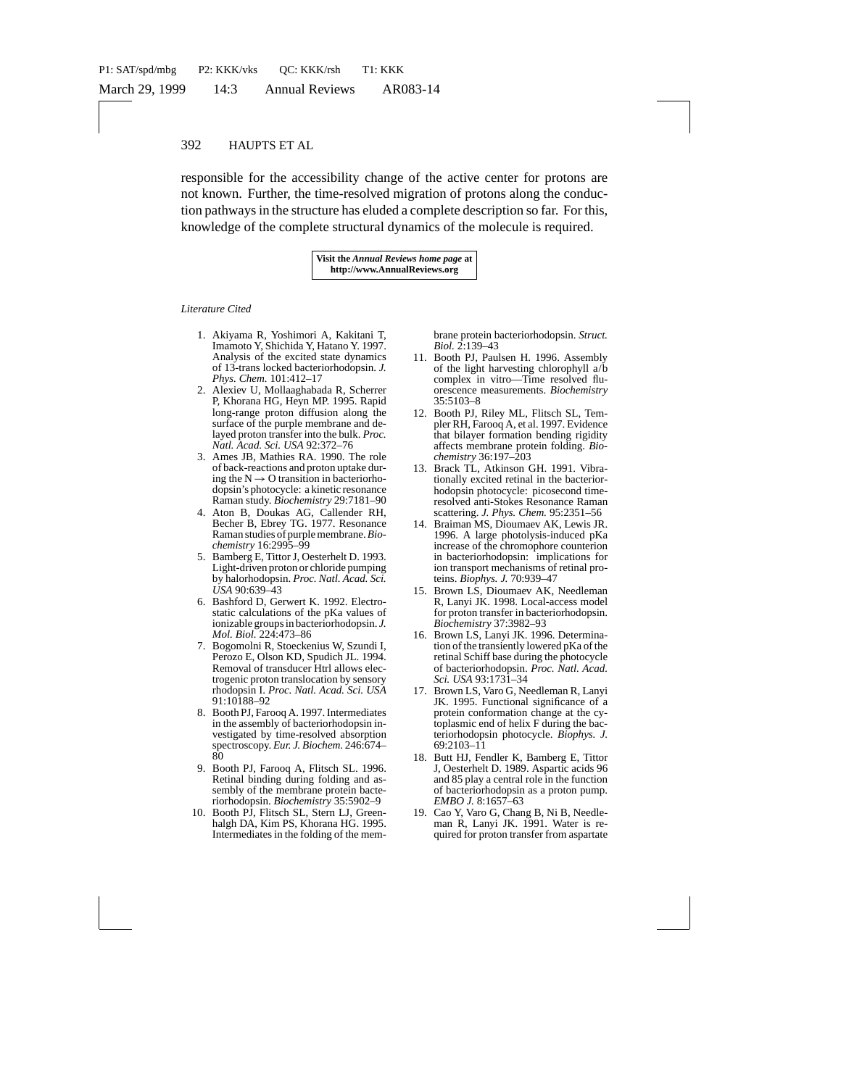responsible for the accessibility change of the active center for protons are not known. Further, the time-resolved migration of protons along the conduction pathways in the structure has eluded a complete description so far. For this, knowledge of the complete structural dynamics of the molecule is required.

> **Visit the** *Annual Reviews home page* **at http://www.AnnualReviews.org**

#### *Literature Cited*

- 1. Akiyama R, Yoshimori A, Kakitani T, Imamoto Y, Shichida Y, Hatano Y. 1997. Analysis of the excited state dynamics of 13-trans locked bacteriorhodopsin. *J. Phys. Chem.* 101:412–17
- 2. Alexiev U, Mollaaghabada R, Scherrer P, Khorana HG, Heyn MP. 1995. Rapid long-range proton diffusion along the surface of the purple membrane and delayed proton transfer into the bulk. *Proc. Natl. Acad. Sci. USA* 92:372–76
- 3. Ames JB, Mathies RA. 1990. The role of back-reactions and proton uptake during the  $N \rightarrow O$  transition in bacteriorhodopsin's photocycle: a kinetic resonance Raman study. *Biochemistry* 29:7181–90
- 4. Aton B, Doukas AG, Callender RH, Becher B, Ebrey TG. 1977. Resonance Raman studies of purple membrane.*Biochemistry* 16:2995–99
- 5. Bamberg E, Tittor J, Oesterhelt D. 1993. Light-driven proton or chloride pumping by halorhodopsin. *Proc. Natl. Acad. Sci. USA* 90:639–43
- 6. Bashford D, Gerwert K. 1992. Electrostatic calculations of the pKa values of ionizable groups in bacteriorhodopsin. *J. Mol. Biol.* 224:473–86
- 7. Bogomolni R, Stoeckenius W, Szundi I, Perozo E, Olson KD, Spudich JL. 1994. Removal of transducer Htrl allows electrogenic proton translocation by sensory rhodopsin I. *Proc. Natl. Acad. Sci. USA* 91:10188–92
- 8. Booth PJ, Farooq A. 1997. Intermediates in the assembly of bacteriorhodopsin investigated by time-resolved absorption spectroscopy. *Eur. J. Biochem.* 246:674– 80
- 9. Booth PJ, Farooq A, Flitsch SL. 1996. Retinal binding during folding and assembly of the membrane protein bacteriorhodopsin. *Biochemistry* 35:5902–9
- 10. Booth PJ, Flitsch SL, Stern LJ, Greenhalgh DA, Kim PS, Khorana HG. 1995. Intermediates in the folding of the mem-

brane protein bacteriorhodopsin. *Struct. Biol.* 2:139–43

- 11. Booth PJ, Paulsen H. 1996. Assembly of the light harvesting chlorophyll a/b complex in vitro—Time resolved fluorescence measurements. *Biochemistry* 35:5103–8
- 12. Booth PJ, Riley ML, Flitsch SL, Templer RH, Farooq A, et al. 1997. Evidence that bilayer formation bending rigidity affects membrane protein folding. *Biochemistry* 36:197–203
- 13. Brack TL, Atkinson GH. 1991. Vibrationally excited retinal in the bacteriorhodopsin photocycle: picosecond timeresolved anti-Stokes Resonance Raman scattering. *J. Phys. Chem.* 95:2351–56
- 14. Braiman MS, Dioumaev AK, Lewis JR. 1996. A large photolysis-induced pKa increase of the chromophore counterion in bacteriorhodopsin: implications for ion transport mechanisms of retinal proteins. *Biophys. J.* 70:939–47
- 15. Brown LS, Dioumaev AK, Needleman R, Lanyi JK. 1998. Local-access model for proton transfer in bacteriorhodopsin. *Biochemistry* 37:3982–93
- 16. Brown LS, Lanyi JK. 1996. Determination of the transiently lowered pKa of the retinal Schiff base during the photocycle of bacteriorhodopsin. *Proc. Natl. Acad. Sci. USA* 93:1731–34
- 17. Brown LS, Varo G, Needleman R, Lanyi JK. 1995. Functional significance of a protein conformation change at the cytoplasmic end of helix F during the bacteriorhodopsin photocycle. *Biophys. J.* 69:2103–11
- 18. Butt HJ, Fendler K, Bamberg E, Tittor J, Oesterhelt D. 1989. Aspartic acids 96 and 85 play a central role in the function of bacteriorhodopsin as a proton pump. *EMBO J.* 8:1657–63
- 19. Cao Y, Varo G, Chang B, Ni B, Needleman R, Lanyi JK. 1991. Water is required for proton transfer from aspartate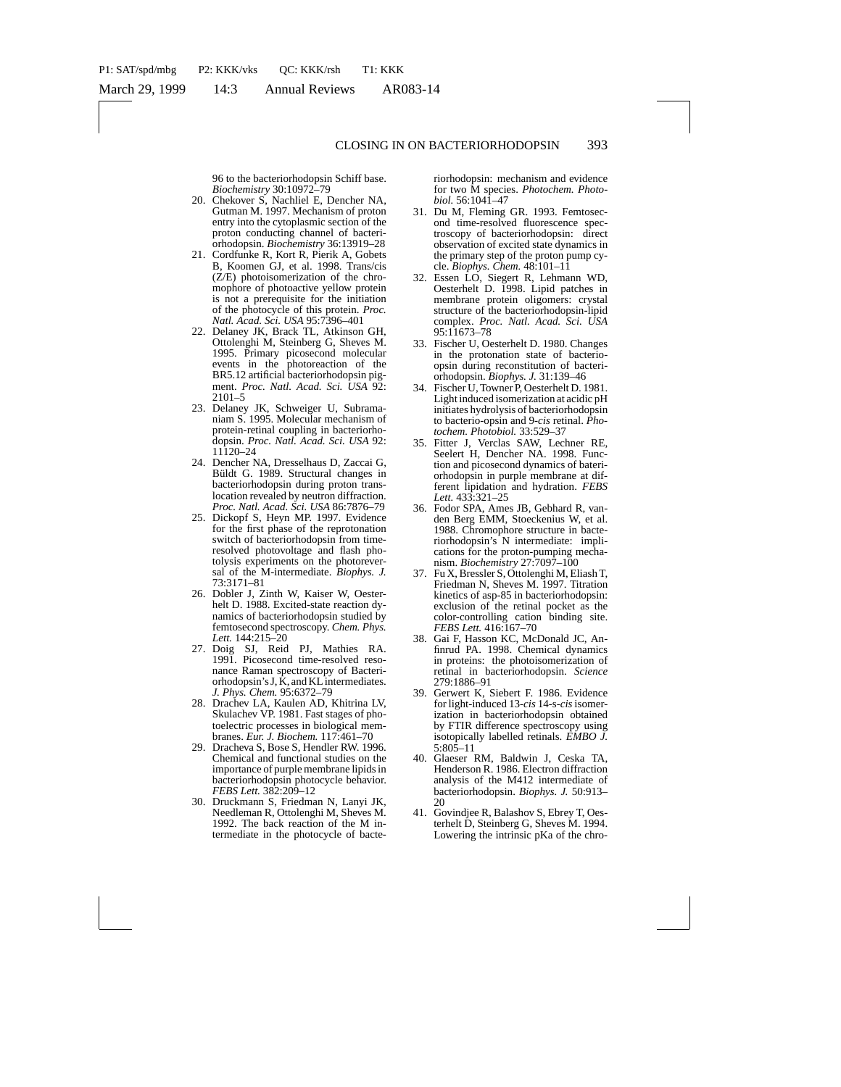96 to the bacteriorhodopsin Schiff base. *Biochemistry* 30:10972–79

- 20. Chekover S, Nachliel E, Dencher NA, Gutman M. 1997. Mechanism of proton entry into the cytoplasmic section of the proton conducting channel of bacteriorhodopsin. *Biochemistry* 36:13919–28
- 21. Cordfunke R, Kort R, Pierik A, Gobets B, Koomen GJ, et al. 1998. Trans/cis (Z/E) photoisomerization of the chromophore of photoactive yellow protein is not a prerequisite for the initiation of the photocycle of this protein. *Proc. Natl. Acad. Sci. USA* 95:7396–401
- 22. Delaney JK, Brack TL, Atkinson GH, Ottolenghi M, Steinberg G, Sheves M. 1995. Primary picosecond molecular events in the photoreaction of the BR5.12 artificial bacteriorhodopsin pigment. *Proc. Natl. Acad. Sci. USA* 92: 2101–5
- 23. Delaney JK, Schweiger U, Subramaniam S. 1995. Molecular mechanism of protein-retinal coupling in bacteriorhodopsin. *Proc. Natl. Acad. Sci. USA* 92: 11120–24
- 24. Dencher NA, Dresselhaus D, Zaccai G, Büldt G. 1989. Structural changes in bacteriorhodopsin during proton translocation revealed by neutron diffraction. *Proc. Natl. Acad. Sci. USA* 86:7876–79
- 25. Dickopf S, Heyn MP. 1997. Evidence for the first phase of the reprotonation switch of bacteriorhodopsin from timeresolved photovoltage and flash photolysis experiments on the photoreversal of the M-intermediate. *Biophys. J.* 73:3171–81
- 26. Dobler J, Zinth W, Kaiser W, Oesterhelt D. 1988. Excited-state reaction dynamics of bacteriorhodopsin studied by femtosecond spectroscopy. *Chem. Phys. Lett.* 144:215–20
- 27. Doig SJ, Reid PJ, Mathies RA. 1991. Picosecond time-resolved resonance Raman spectroscopy of Bacteriorhodopsin's J, K, and KL intermediates. *J. Phys. Chem.* 95:6372–79
- 28. Drachev LA, Kaulen AD, Khitrina LV, Skulachev VP. 1981. Fast stages of photoelectric processes in biological membranes. *Eur. J. Biochem.* 117:461–70
- 29. Dracheva S, Bose S, Hendler RW. 1996. Chemical and functional studies on the importance of purple membrane lipids in bacteriorhodopsin photocycle behavior. *FEBS Lett.* 382:209–12
- 30. Druckmann S, Friedman N, Lanyi JK, Needleman R, Ottolenghi M, Sheves M. 1992. The back reaction of the M intermediate in the photocycle of bacte-

riorhodopsin: mechanism and evidence for two M species. *Photochem. Photobiol.* 56:1041–47

- 31. Du M, Fleming GR. 1993. Femtosecond time-resolved fluorescence spectroscopy of bacteriorhodopsin: direct observation of excited state dynamics in the primary step of the proton pump cycle. *Biophys. Chem.* 48:101–11
- 32. Essen LO, Siegert R, Lehmann WD, Oesterhelt D. 1998. Lipid patches in membrane protein oligomers: crystal structure of the bacteriorhodopsin-lipid complex. *Proc. Natl. Acad. Sci. USA* 95:11673–78
- 33. Fischer U, Oesterhelt D. 1980. Changes in the protonation state of bacterioopsin during reconstitution of bacteriorhodopsin. *Biophys. J.* 31:139–46
- 34. Fischer U, Towner P, Oesterhelt D. 1981. Light induced isomerization at acidic pH initiates hydrolysis of bacteriorhodopsin to bacterio-opsin and 9-*cis* retinal. *Photochem. Photobiol.* 33:529–37
- 35. Fitter J, Verclas SAW, Lechner RE, Seelert H, Dencher NA. 1998. Function and picosecond dynamics of bateriorhodopsin in purple membrane at different lipidation and hydration. *FEBS Lett.* 433:321–25
- 36. Fodor SPA, Ames JB, Gebhard R, vanden Berg EMM, Stoeckenius W, et al. 1988. Chromophore structure in bacteriorhodopsin's N intermediate: implications for the proton-pumping mechanism. *Biochemistry* 27:7097–100
- 37. Fu X, Bressler S, Ottolenghi M, Eliash T, Friedman N, Sheves M. 1997. Titration kinetics of asp-85 in bacteriorhodopsin: exclusion of the retinal pocket as the color-controlling cation binding site. *FEBS Lett.* 416:167–70
- 38. Gai F, Hasson KC, McDonald JC, Anfinrud PA. 1998. Chemical dynamics in proteins: the photoisomerization of retinal in bacteriorhodopsin. *Science* 279:1886–91
- 39. Gerwert K, Siebert F. 1986. Evidence for light-induced 13-*cis* 14-s-*cis*isomerization in bacteriorhodopsin obtained by FTIR difference spectroscopy using isotopically labelled retinals. *EMBO J.* 5:805–11
- 40. Glaeser RM, Baldwin J, Ceska TA, Henderson R. 1986. Electron diffraction analysis of the M412 intermediate of bacteriorhodopsin. *Biophys. J.* 50:913– 20
- 41. Govindjee R, Balashov S, Ebrey T, Oesterhelt D, Steinberg G, Sheves M. 1994. Lowering the intrinsic pKa of the chro-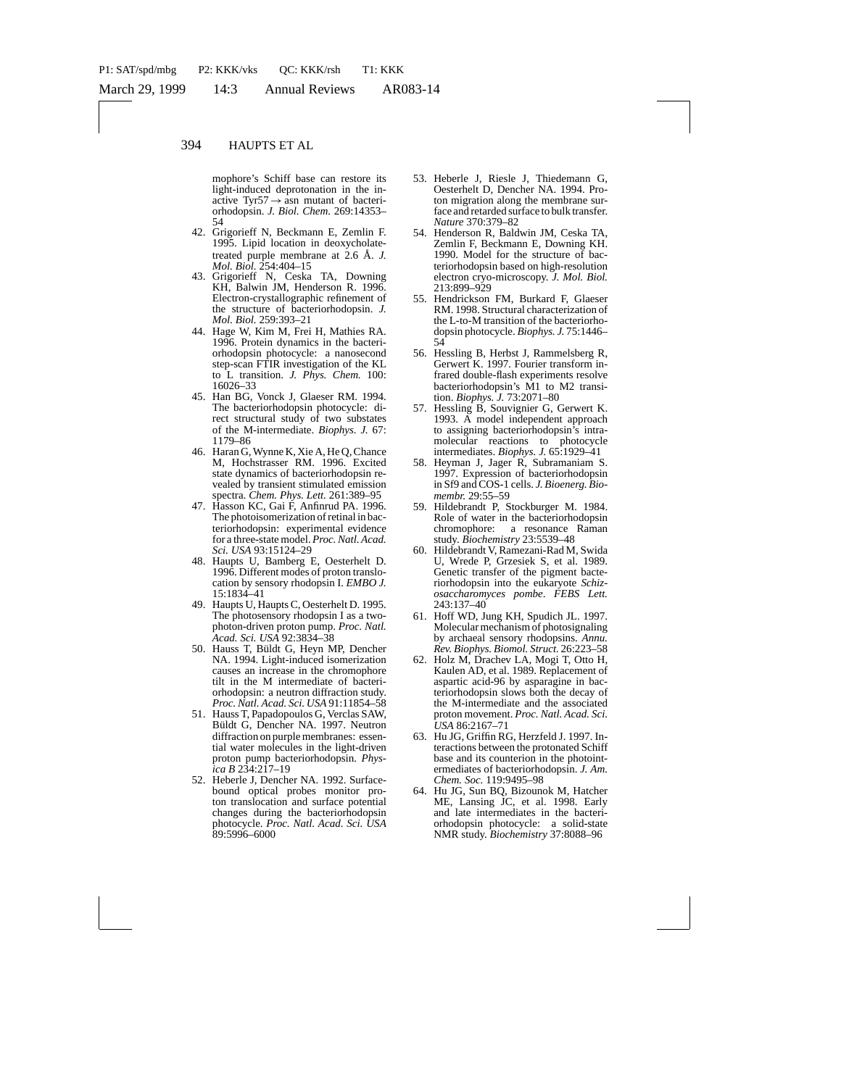mophore's Schiff base can restore its light-induced deprotonation in the inactive Tyr57 $\rightarrow$  asn mutant of bacteriorhodopsin. *J. Biol. Chem.* 269:14353– 54

- 42. Grigorieff N, Beckmann E, Zemlin F. 1995. Lipid location in deoxycholatetreated purple membrane at 2.6 Å. *J. Mol. Biol.* 254:404–15
- 43. Grigorieff N, Ceska TA, Downing KH, Balwin JM, Henderson R. 1996. Electron-crystallographic refinement of the structure of bacteriorhodopsin. *J. Mol. Biol.* 259:393–21
- 44. Hage W, Kim M, Frei H, Mathies RA. 1996. Protein dynamics in the bacteriorhodopsin photocycle: a nanosecond step-scan FTIR investigation of the KL to L transition. *J. Phys. Chem.* 100: 16026–33
- 45. Han BG, Vonck J, Glaeser RM. 1994. The bacteriorhodopsin photocycle: direct structural study of two substates of the M-intermediate. *Biophys. J.* 67: 1179–86
- 46. Haran G, Wynne K, Xie A, He Q, Chance M, Hochstrasser RM. 1996. Excited state dynamics of bacteriorhodopsin revealed by transient stimulated emission spectra. *Chem. Phys. Lett.* 261:389–95
- 47. Hasson KC, Gai F, Anfinrud PA. 1996. The photoisomerization of retinal in bacteriorhodopsin: experimental evidence for a three-state model. *Proc. Natl. Acad. Sci. USA* 93:15124–29
- 48. Haupts U, Bamberg E, Oesterhelt D. 1996. Different modes of proton translocation by sensory rhodopsin I. *EMBO J.* 15:1834–41
- 49. Haupts U, Haupts C, Oesterhelt D. 1995. The photosensory rhodopsin I as a twophoton-driven proton pump. *Proc. Natl. Acad. Sci. USA* 92:3834–38
- 50. Hauss T, Büldt G, Heyn MP, Dencher NA. 1994. Light-induced isomerization causes an increase in the chromophore tilt in the M intermediate of bacteriorhodopsin: a neutron diffraction study. *Proc. Natl. Acad. Sci. USA* 91:11854–58
- 51. Hauss T, Papadopoulos G, Verclas SAW, Büldt G, Dencher NA. 1997. Neutron diffraction on purple membranes: essential water molecules in the light-driven proton pump bacteriorhodopsin. *Physica B* 234:217–19
- 52. Heberle J, Dencher NA. 1992. Surfacebound optical probes monitor proton translocation and surface potential changes during the bacteriorhodopsin photocycle. *Proc. Natl. Acad. Sci. USA* 89:5996–6000
- 53. Heberle J, Riesle J, Thiedemann G, Oesterhelt D, Dencher NA. 1994. Proton migration along the membrane surface and retarded surface to bulk transfer. *Nature* 370:379–82
- 54. Henderson R, Baldwin JM, Ceska TA, Zemlin F, Beckmann E, Downing KH. 1990. Model for the structure of bacteriorhodopsin based on high-resolution electron cryo-microscopy. *J. Mol. Biol.* 213:899–929
- 55. Hendrickson FM, Burkard F, Glaeser RM. 1998. Structural characterization of the L-to-M transition of the bacteriorhodopsin photocycle. *Biophys. J.* 75:1446– 54
- 56. Hessling B, Herbst J, Rammelsberg R, Gerwert K. 1997. Fourier transform infrared double-flash experiments resolve bacteriorhodopsin's M1 to M2 transition. *Biophys. J.* 73:2071–80
- 57. Hessling B, Souvignier G, Gerwert K. 1993. A model independent approach to assigning bacteriorhodopsin's intramolecular reactions to photocycle intermediates. *Biophys. J.* 65:1929–41
- 58. Heyman J, Jager R, Subramaniam S. 1997. Expression of bacteriorhodopsin in Sf9 and COS-1 cells. *J. Bioenerg. Biomembr.* 29:55–59
- 59. Hildebrandt P, Stockburger M. 1984. Role of water in the bacteriorhodopsin<br>chromophore: a resonance Raman a resonance Raman study. *Biochemistry* 23:5539–48
- 60. Hildebrandt V, Ramezani-Rad M, Swida U, Wrede P, Grzesiek S, et al. 1989. Genetic transfer of the pigment bacteriorhodopsin into the eukaryote *Schizosaccharomyces pombe*. *FEBS Lett.* 243:137–40
- 61. Hoff WD, Jung KH, Spudich JL. 1997. Molecular mechanism of photosignaling by archaeal sensory rhodopsins. *Annu. Rev. Biophys. Biomol. Struct.* 26:223–58
- 62. Holz M, Drachev LA, Mogi T, Otto H, Kaulen AD, et al. 1989. Replacement of aspartic acid-96 by asparagine in bacteriorhodopsin slows both the decay of the M-intermediate and the associated proton movement. *Proc. Natl. Acad. Sci. USA* 86:2167–71
- 63. Hu JG, Griffin RG, Herzfeld J. 1997. Interactions between the protonated Schiff base and its counterion in the photointermediates of bacteriorhodopsin. *J. Am. Chem. Soc.* 119:9495–98
- 64. Hu JG, Sun BQ, Bizounok M, Hatcher ME, Lansing JC, et al. 1998. Early and late intermediates in the bacteriorhodopsin photocycle: a solid-state NMR study. *Biochemistry* 37:8088–96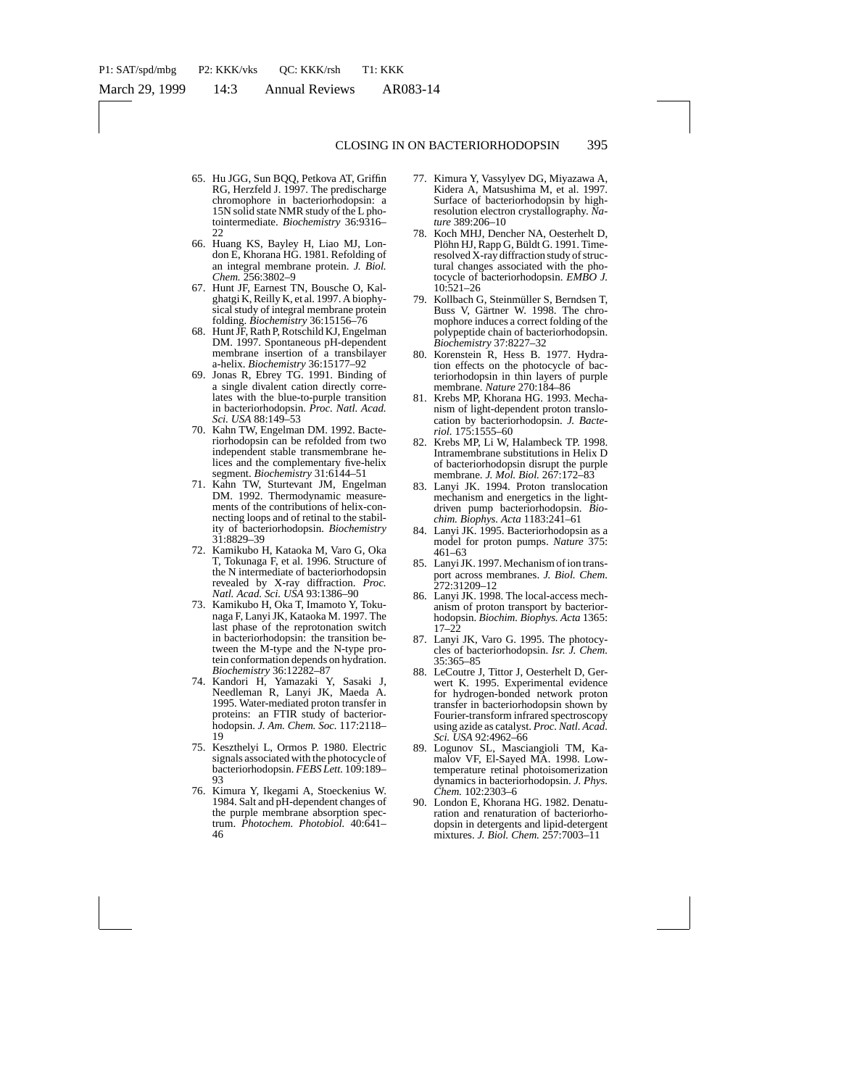- 65. Hu JGG, Sun BQQ, Petkova AT, Griffin RG, Herzfeld J. 1997. The predischarge chromophore in bacteriorhodopsin: a 15N solid state NMR study of the L photointermediate. *Biochemistry* 36:9316–  $22$
- 66. Huang KS, Bayley H, Liao MJ, London E, Khorana HG. 1981. Refolding of an integral membrane protein. *J. Biol. Chem.* 256:3802–9
- 67. Hunt JF, Earnest TN, Bousche O, Kalghatgi K, Reilly K, et al. 1997. A biophysical study of integral membrane protein folding. *Biochemistry* 36:15156–76
- 68. Hunt JF, Rath P, Rotschild KJ, Engelman DM. 1997. Spontaneous pH-dependent membrane insertion of a transbilayer a-helix. *Biochemistry* 36:15177–92
- 69. Jonas R, Ebrey TG. 1991. Binding of a single divalent cation directly correlates with the blue-to-purple transition in bacteriorhodopsin. *Proc. Natl. Acad. Sci. USA* 88:149–53
- 70. Kahn TW, Engelman DM. 1992. Bacteriorhodopsin can be refolded from two independent stable transmembrane helices and the complementary five-helix segment. *Biochemistry* 31:6144–51
- 71. Kahn TW, Sturtevant JM, Engelman DM. 1992. Thermodynamic measurements of the contributions of helix-connecting loops and of retinal to the stability of bacteriorhodopsin. *Biochemistry* 31:8829–39
- 72. Kamikubo H, Kataoka M, Varo G, Oka T, Tokunaga F, et al. 1996. Structure of the N intermediate of bacteriorhodopsin revealed by X-ray diffraction. *Proc. Natl. Acad. Sci. USA* 93:1386–90
- 73. Kamikubo H, Oka T, Imamoto Y, Tokunaga F, Lanyi JK, Kataoka M. 1997. The last phase of the reprotonation switch in bacteriorhodopsin: the transition between the M-type and the N-type protein conformation depends on hydration. *Biochemistry* 36:12282–87
- 74. Kandori H, Yamazaki Y, Sasaki J, Needleman R, Lanyi JK, Maeda A. 1995. Water-mediated proton transfer in proteins: an FTIR study of bacteriorhodopsin. *J. Am. Chem. Soc.* 117:2118– 19
- 75. Keszthelyi L, Ormos P. 1980. Electric signals associated with the photocycle of bacteriorhodopsin. *FEBS Lett.* 109:189-93
- 76. Kimura Y, Ikegami A, Stoeckenius W. 1984. Salt and pH-dependent changes of the purple membrane absorption spectrum. *Photochem. Photobiol.* 40:641– 46
- 77. Kimura Y, Vassylyev DG, Miyazawa A, Kidera A, Matsushima M, et al. 1997. Surface of bacteriorhodopsin by highresolution electron crystallography. *Nature* 389:206–10
- 78. Koch MHJ, Dencher NA, Oesterhelt D, Plöhn HJ, Rapp G, Büldt G. 1991. Timeresolved X-ray diffraction study of structural changes associated with the photocycle of bacteriorhodopsin. *EMBO J.* 10:521–26
- 79. Kollbach G, Steinmüller S, Berndsen T, Buss V, Gärtner W. 1998. The chromophore induces a correct folding of the polypeptide chain of bacteriorhodopsin. *Biochemistry* 37:8227–32
- 80. Korenstein R, Hess B. 1977. Hydration effects on the photocycle of bacteriorhodopsin in thin layers of purple membrane. *Nature* 270:184–86
- 81. Krebs MP, Khorana HG. 1993. Mechanism of light-dependent proton translocation by bacteriorhodopsin. *J. Bacteriol.* 175:1555–60
- 82. Krebs MP, Li W, Halambeck TP. 1998. Intramembrane substitutions in Helix D of bacteriorhodopsin disrupt the purple membrane. *J. Mol. Biol.* 267:172–83
- 83. Lanyi JK. 1994. Proton translocation mechanism and energetics in the lightdriven pump bacteriorhodopsin. *Biochim. Biophys. Acta* 1183:241–61
- 84. Lanyi JK. 1995. Bacteriorhodopsin as a model for proton pumps. *Nature* 375: 461–63
- 85. Lanyi JK. 1997. Mechanism of ion transport across membranes. *J. Biol. Chem.* 272:31209–12
- 86. Lanyi JK. 1998. The local-access mechanism of proton transport by bacteriorhodopsin. *Biochim. Biophys. Acta* 1365: 17–22
- 87. Lanyi JK, Varo G. 1995. The photocycles of bacteriorhodopsin. *Isr. J. Chem.* 35:365–85
- 88. LeCoutre J, Tittor J, Oesterhelt D, Gerwert K. 1995. Experimental evidence for hydrogen-bonded network proton transfer in bacteriorhodopsin shown by Fourier-transform infrared spectroscopy using azide as catalyst. *Proc. Natl. Acad. Sci. USA* 92:4962–66
- 89. Logunov SL, Masciangioli TM, Kamalov VF, El-Sayed MA. 1998. Lowtemperature retinal photoisomerization dynamics in bacteriorhodopsin. *J. Phys. Chem.* 102:2303–6
- 90. London E, Khorana HG. 1982. Denaturation and renaturation of bacteriorhodopsin in detergents and lipid-detergent mixtures. *J. Biol. Chem.* 257:7003–11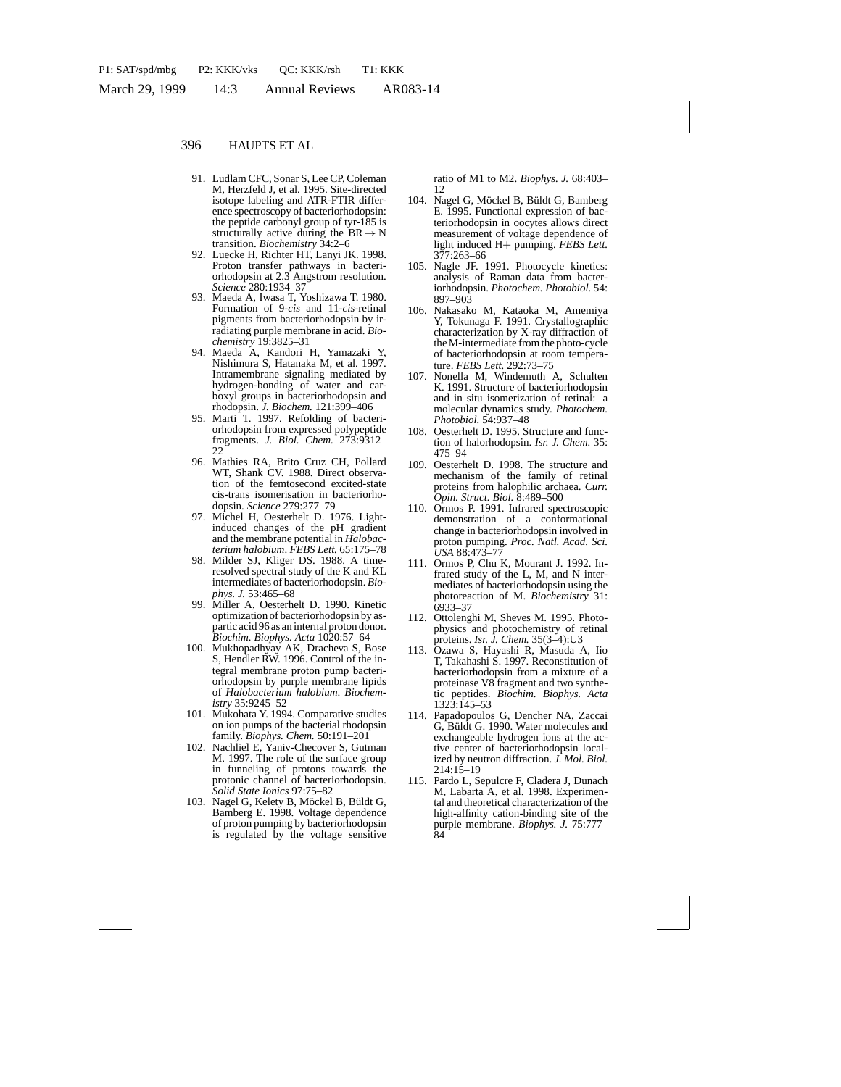- 91. Ludlam CFC, Sonar S, Lee CP, Coleman M, Herzfeld J, et al. 1995. Site-directed isotope labeling and ATR-FTIR difference spectroscopy of bacteriorhodopsin: the peptide carbonyl group of tyr-185 is structurally active during the  $BR \rightarrow N$ transition. *Biochemistry* 34:2–6
- 92. Luecke H, Richter HT, Lanyi JK. 1998. Proton transfer pathways in bacteriorhodopsin at 2.3 Angstrom resolution. *Science* 280:1934–37
- 93. Maeda A, Iwasa T, Yoshizawa T. 1980. Formation of 9-*cis* and 11-*cis*-retinal pigments from bacteriorhodopsin by irradiating purple membrane in acid. *Biochemistry* 19:3825–31
- 94. Maeda A, Kandori H, Yamazaki Y, Nishimura S, Hatanaka M, et al. 1997. Intramembrane signaling mediated by hydrogen-bonding of water and carboxyl groups in bacteriorhodopsin and rhodopsin. *J. Biochem.* 121:399–406
- 95. Marti T. 1997. Refolding of bacteriorhodopsin from expressed polypeptide fragments. *J. Biol. Chem.* 273:9312–  $22$
- 96. Mathies RA, Brito Cruz CH, Pollard WT, Shank CV. 1988. Direct observation of the femtosecond excited-state cis-trans isomerisation in bacteriorhodopsin. *Science* 279:277–79
- 97. Michel H, Oesterhelt D. 1976. Lightinduced changes of the pH gradient and the membrane potential in *Halobacterium halobium*. *FEBS Lett.* 65:175–78
- 98. Milder SJ, Kliger DS. 1988. A timeresolved spectral study of the K and KL intermediates of bacteriorhodopsin. *Biophys. J.* 53:465–68
- 99. Miller A, Oesterhelt D. 1990. Kinetic optimization of bacteriorhodopsin by aspartic acid 96 as an internal proton donor. *Biochim. Biophys. Acta* 1020:57–64
- 100. Mukhopadhyay AK, Dracheva S, Bose S, Hendler RW. 1996. Control of the integral membrane proton pump bacteriorhodopsin by purple membrane lipids of *Halobacterium halobium*. *Biochemistry* 35:9245–52
- 101. Mukohata Y. 1994. Comparative studies on ion pumps of the bacterial rhodopsin family. *Biophys. Chem.* 50:191–201
- 102. Nachliel E, Yaniv-Checover S, Gutman M. 1997. The role of the surface group in funneling of protons towards the protonic channel of bacteriorhodopsin. *Solid State Ionics* 97:75–82
- 103. Nagel G, Kelety B, Möckel B, Büldt G, Bamberg E. 1998. Voltage dependence of proton pumping by bacteriorhodopsin is regulated by the voltage sensitive

ratio of M1 to M2. *Biophys. J.* 68:403– 12

- 104. Nagel G, Möckel B, Büldt G, Bamberg E. 1995. Functional expression of bacteriorhodopsin in oocytes allows direct measurement of voltage dependence of light induced H+ pumping. *FEBS Lett.* 377:263–66
- 105. Nagle JF. 1991. Photocycle kinetics: analysis of Raman data from bacteriorhodopsin. *Photochem. Photobiol.* 54: 897–903
- 106. Nakasako M, Kataoka M, Amemiya Y, Tokunaga F. 1991. Crystallographic characterization by X-ray diffraction of the M-intermediate from the photo-cycle of bacteriorhodopsin at room temperature. *FEBS Lett.* 292:73–75
- 107. Nonella M, Windemuth A, Schulten K. 1991. Structure of bacteriorhodopsin and in situ isomerization of retinal: a molecular dynamics study. *Photochem. Photobiol.* 54:937–48
- 108. Oesterhelt D. 1995. Structure and function of halorhodopsin. *Isr. J. Chem.* 35: 475–94
- 109. Oesterhelt D. 1998. The structure and mechanism of the family of retinal proteins from halophilic archaea. *Curr. Opin. Struct. Biol.* 8:489–500
- 110. Ormos P. 1991. Infrared spectroscopic demonstration of a conformational change in bacteriorhodopsin involved in proton pumping. *Proc. Natl. Acad. Sci. USA* 88:473–77
- 111. Ormos P, Chu K, Mourant J. 1992. Infrared study of the L, M, and N intermediates of bacteriorhodopsin using the photoreaction of M. *Biochemistry* 31: 6933–37
- 112. Ottolenghi M, Sheves M. 1995. Photophysics and photochemistry of retinal proteins. *Isr. J. Chem.* 35(3–4):U3
- 113. Ozawa S, Hayashi R, Masuda A, Iio T, Takahashi S. 1997. Reconstitution of bacteriorhodopsin from a mixture of a proteinase V8 fragment and two synthetic peptides. *Biochim. Biophys. Acta* 1323:145–53
- 114. Papadopoulos G, Dencher NA, Zaccai G. Büldt G. 1990. Water molecules and exchangeable hydrogen ions at the active center of bacteriorhodopsin localized by neutron diffraction. *J. Mol. Biol.* 214:15–19
- 115. Pardo L, Sepulcre F, Cladera J, Dunach M, Labarta A, et al. 1998. Experimental and theoretical characterization of the high-affinity cation-binding site of the purple membrane. *Biophys. J.* 75:777– 84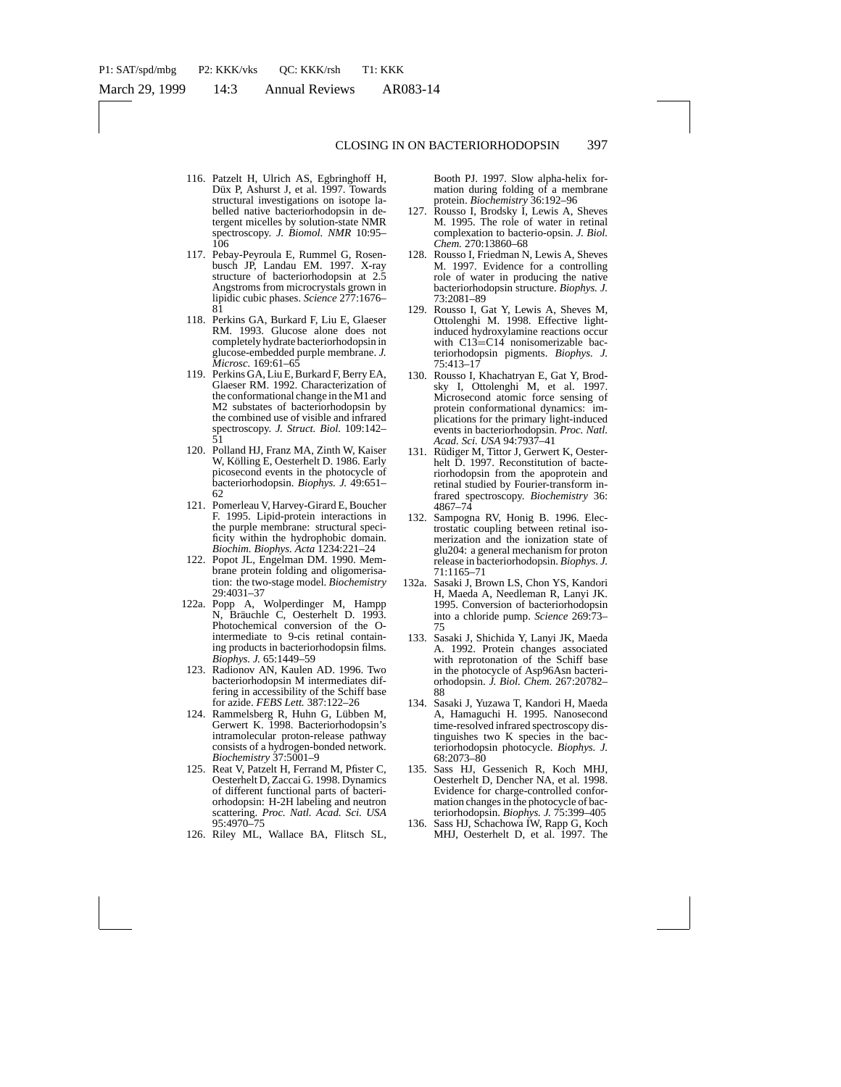- 116. Patzelt H, Ulrich AS, Egbringhoff H, Düx P, Ashurst J, et al. 1997. Towards structural investigations on isotope labelled native bacteriorhodopsin in detergent micelles by solution-state NMR spectroscopy. *J. Biomol. NMR* 10:95– 106
- 117. Pebay-Peyroula E, Rummel G, Rosenbusch JP, Landau EM. 1997. X-ray structure of bacteriorhodopsin at 2.5 Angstroms from microcrystals grown in lipidic cubic phases. *Science* 277:1676– 81
- 118. Perkins GA, Burkard F, Liu E, Glaeser RM. 1993. Glucose alone does not completely hydrate bacteriorhodopsin in glucose-embedded purple membrane. *J. Microsc.* 169:61–65
- 119. Perkins GA, Liu E, Burkard F, Berry EA, Glaeser RM. 1992. Characterization of the conformational change in the M1 and M2 substates of bacteriorhodopsin by the combined use of visible and infrared spectroscopy. *J. Struct. Biol.* 109:142– 51
- 120. Polland HJ, Franz MA, Zinth W, Kaiser W, Kölling E, Oesterhelt D. 1986. Early picosecond events in the photocycle of bacteriorhodopsin. *Biophys. J.* 49:651– 62
- 121. Pomerleau V, Harvey-Girard E, Boucher F. 1995. Lipid-protein interactions in the purple membrane: structural specificity within the hydrophobic domain. *Biochim. Biophys. Acta* 1234:221–24
- 122. Popot JL, Engelman DM. 1990. Membrane protein folding and oligomerisation: the two-stage model. *Biochemistry* 29:4031–37
- 122a. Popp A, Wolperdinger M, Hampp N, Bräuchle C, Oesterhelt D. 1993. Photochemical conversion of the Ointermediate to 9-cis retinal containing products in bacteriorhodopsin films. *Biophys. J.* 65:1449–59
- 123. Radionov AN, Kaulen AD. 1996. Two bacteriorhodopsin M intermediates differing in accessibility of the Schiff base for azide. *FEBS Lett.* 387:122–26
- 124. Rammelsberg R, Huhn G, Lübben M, Gerwert K. 1998. Bacteriorhodopsin's intramolecular proton-release pathway consists of a hydrogen-bonded network. *Biochemistry* 37:5001–9
- 125. Reat V, Patzelt H, Ferrand M, Pfister C, Oesterhelt D, Zaccai G. 1998. Dynamics of different functional parts of bacteriorhodopsin: H-2H labeling and neutron scattering. *Proc. Natl. Acad. Sci. USA* 95:4970–75
- 126. Riley ML, Wallace BA, Flitsch SL,

Booth PJ. 1997. Slow alpha-helix formation during folding of a membrane protein. *Biochemistry* 36:192–96

- 127. Rousso I, Brodsky I, Lewis A, Sheves M. 1995. The role of water in retinal complexation to bacterio-opsin. *J. Biol. Chem.* 270:13860–68
- 128. Rousso I, Friedman N, Lewis A, Sheves M. 1997. Evidence for a controlling role of water in producing the native bacteriorhodopsin structure. *Biophys. J.* 73:2081–89
- 129. Rousso I, Gat Y, Lewis A, Sheves M, Ottolenghi M. 1998. Effective lightinduced hydroxylamine reactions occur with C13=C14 nonisomerizable bacteriorhodopsin pigments. *Biophys. J.* 75:413–17
- 130. Rousso I, Khachatryan E, Gat Y, Brodsky I, Ottolenghi M, et al. 1997. Microsecond atomic force sensing of protein conformational dynamics: implications for the primary light-induced events in bacteriorhodopsin. *Proc. Natl. Acad. Sci. USA* 94:7937–41
- 131. Rüdiger M, Tittor J, Gerwert K, Oesterhelt D. 1997. Reconstitution of bacteriorhodopsin from the apoprotein and retinal studied by Fourier-transform infrared spectroscopy. *Biochemistry* 36: 4867–74
- 132. Sampogna RV, Honig B. 1996. Electrostatic coupling between retinal isomerization and the ionization state of glu204: a general mechanism for proton release in bacteriorhodopsin. *Biophys. J.* 71:1165–71
- 132a. Sasaki J, Brown LS, Chon YS, Kandori H, Maeda A, Needleman R, Lanyi JK. 1995. Conversion of bacteriorhodopsin into a chloride pump. *Science* 269:73– 75
- 133. Sasaki J, Shichida Y, Lanyi JK, Maeda A. 1992. Protein changes associated with reprotonation of the Schiff base in the photocycle of Asp96Asn bacteriorhodopsin. *J. Biol. Chem.* 267:20782– 88
- 134. Sasaki J, Yuzawa T, Kandori H, Maeda A, Hamaguchi H. 1995. Nanosecond time-resolved infrared spectroscopy distinguishes two K species in the bacteriorhodopsin photocycle. *Biophys. J.* 68:2073–80
- 135. Sass HJ, Gessenich R, Koch MHJ, Oesterhelt D, Dencher NA, et al. 1998. Evidence for charge-controlled conformation changes in the photocycle of bacteriorhodopsin. *Biophys. J.* 75:399–405
- 136. Sass HJ, Schachowa IW, Rapp G, Koch MHJ, Oesterhelt D, et al. 1997. The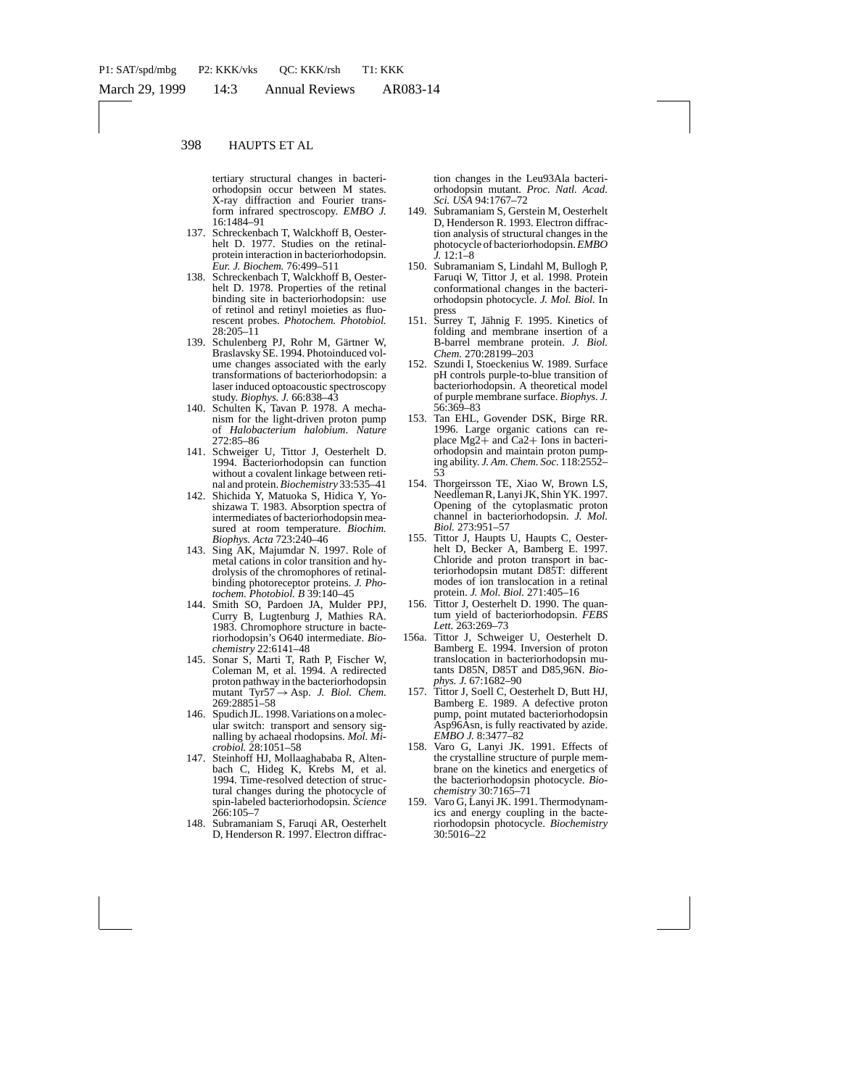tertiary structural changes in bacteriorhodopsin occur between M states. X-ray diffraction and Fourier transform infrared spectroscopy. *EMBO J.* 16:1484–91

- 137. Schreckenbach T, Walckhoff B, Oesterhelt D. 1977. Studies on the retinalprotein interaction in bacteriorhodopsin. *Eur. J. Biochem.* 76:499–511
- 138. Schreckenbach T, Walckhoff B, Oesterhelt D. 1978. Properties of the retinal binding site in bacteriorhodopsin: use of retinol and retinyl moieties as fluorescent probes. *Photochem. Photobiol.* 28:205–11
- 139. Schulenberg PJ, Rohr M, Gärtner W, Braslavsky SE. 1994. Photoinduced volume changes associated with the early transformations of bacteriorhodopsin: a laser induced optoacoustic spectroscopy study. *Biophys. J.* 66:838–43
- 140. Schulten K, Tavan P. 1978. A mechanism for the light-driven proton pump of *Halobacterium halobium*. *Nature* 272:85–86
- 141. Schweiger U, Tittor J, Oesterhelt D. 1994. Bacteriorhodopsin can function without a covalent linkage between retinal and protein.*Biochemistry* 33:535–41
- 142. Shichida Y, Matuoka S, Hidica Y, Yoshizawa T. 1983. Absorption spectra of intermediates of bacteriorhodopsin measured at room temperature. *Biochim. Biophys. Acta* 723:240–46
- 143. Sing AK, Majumdar N. 1997. Role of metal cations in color transition and hydrolysis of the chromophores of retinalbinding photoreceptor proteins. *J. Photochem. Photobiol. B* 39:140–45
- 144. Smith SO, Pardoen JA, Mulder PPJ, Curry B, Lugtenburg J, Mathies RA. 1983. Chromophore structure in bacteriorhodopsin's O640 intermediate. *Biochemistry* 22:6141–48
- 145. Sonar S, Marti T, Rath P, Fischer W, Coleman M, et al. 1994. A redirected proton pathway in the bacteriorhodopsin mutant Tyr57→Asp. *J. Biol. Chem.* 269:28851–58
- 146. Spudich JL. 1998. Variations on a molecular switch: transport and sensory signalling by achaeal rhodopsins. *Mol. Microbiol.* 28:1051–58
- 147. Steinhoff HJ, Mollaaghababa R, Altenbach C, Hideg K, Krebs M, et al. 1994. Time-resolved detection of structural changes during the photocycle of spin-labeled bacteriorhodopsin. *Science* 266:105–7
- 148. Subramaniam S, Faruqi AR, Oesterhelt D, Henderson R. 1997. Electron diffrac-

tion changes in the Leu93Ala bacteriorhodopsin mutant. *Proc. Natl. Acad. Sci. USA* 94:1767–72

- 149. Subramaniam S, Gerstein M, Oesterhelt D, Henderson R. 1993. Electron diffraction analysis of structural changes in the photocycle of bacteriorhodopsin.*EMBO J.* 12:1–8
- 150. Subramaniam S, Lindahl M, Bullogh P, Faruqi W, Tittor J, et al. 1998. Protein conformational changes in the bacteriorhodopsin photocycle. *J. Mol. Biol.* In press
- 151. Surrey T, Jähnig F. 1995. Kinetics of folding and membrane insertion of a B-barrel membrane protein. *J. Biol. Chem.* 270:28199–203
- 152. Szundi I, Stoeckenius W. 1989. Surface pH controls purple-to-blue transition of bacteriorhodopsin. A theoretical model of purple membrane surface. *Biophys. J.* 56:369–83
- 153. Tan EHL, Govender DSK, Birge RR. 1996. Large organic cations can replace  $Mg2+$  and Ca2+ Ions in bacteriorhodopsin and maintain proton pumping ability. *J. Am. Chem. Soc.* 118:2552– 53
- 154. Thorgeirsson TE, Xiao W, Brown LS, Needleman R, Lanyi JK, Shin YK. 1997. Opening of the cytoplasmatic proton channel in bacteriorhodopsin. *J. Mol. Biol.* 273:951–57
- 155. Tittor J, Haupts U, Haupts C, Oesterhelt D, Becker A, Bamberg E. 1997. Chloride and proton transport in bacteriorhodopsin mutant D85T: different modes of ion translocation in a retinal protein. *J. Mol. Biol.* 271:405–16
- 156. Tittor J, Oesterhelt D. 1990. The quantum yield of bacteriorhodopsin. *FEBS Lett.* 263:269–73
- 156a. Tittor J, Schweiger U, Oesterhelt D. Bamberg E. 1994. Inversion of proton translocation in bacteriorhodopsin mutants D85N, D85T and D85,96N. *Biophys. J.* 67:1682–90
- 157. Tittor J, Soell C, Oesterhelt D, Butt HJ, Bamberg E. 1989. A defective proton pump, point mutated bacteriorhodopsin Asp96Asn, is fully reactivated by azide. *EMBO J.* 8:3477–82
- 158. Varo G, Lanyi JK. 1991. Effects of the crystalline structure of purple membrane on the kinetics and energetics of the bacteriorhodopsin photocycle. *Biochemistry* 30:7165–71
- 159. Varo G, Lanyi JK. 1991. Thermodynamics and energy coupling in the bacteriorhodopsin photocycle. *Biochemistry* 30:5016–22